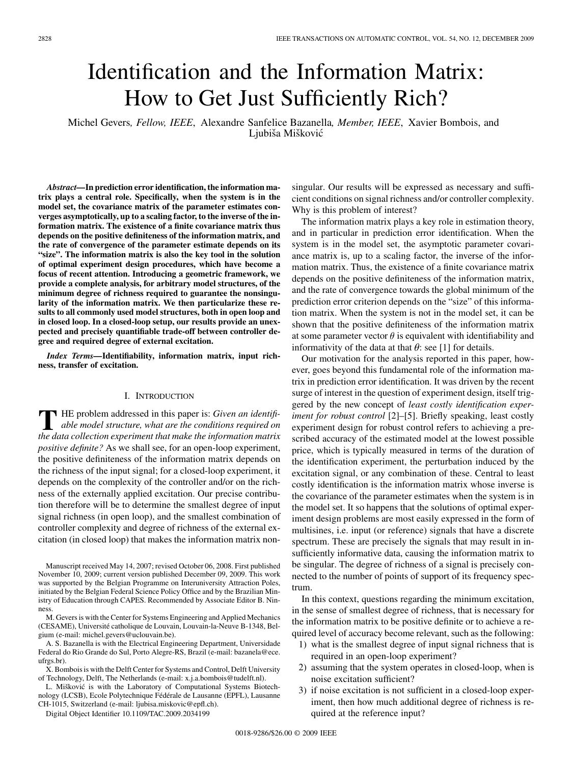# Identification and the Information Matrix: How to Get Just Sufficiently Rich?

Michel Gevers*, Fellow, IEEE*, Alexandre Sanfelice Bazanella*, Member, IEEE*, Xavier Bombois, and Ljubiša Mišković

*Abstract—***In prediction error identification, the information matrix plays a central role. Specifically, when the system is in the model set, the covariance matrix of the parameter estimates converges asymptotically, up to a scaling factor, to the inverse of the information matrix. The existence of a finite covariance matrix thus depends on the positive definiteness of the information matrix, and the rate of convergence of the parameter estimate depends on its "size". The information matrix is also the key tool in the solution of optimal experiment design procedures, which have become a focus of recent attention. Introducing a geometric framework, we provide a complete analysis, for arbitrary model structures, of the minimum degree of richness required to guarantee the nonsingularity of the information matrix. We then particularize these results to all commonly used model structures, both in open loop and in closed loop. In a closed-loop setup, our results provide an unexpected and precisely quantifiable trade-off between controller degree and required degree of external excitation.**

*Index Terms—***Identifiability, information matrix, input richness, transfer of excitation.**

## I. INTRODUCTION

**T** HE problem addressed in this paper is: *Given an identifiable model structure, what are the conditions required on the data collection experiment that make the information matrix positive definite?* As we shall see, for an open-loop experiment, the positive definiteness of the information matrix depends on the richness of the input signal; for a closed-loop experiment, it depends on the complexity of the controller and/or on the richness of the externally applied excitation. Our precise contribution therefore will be to determine the smallest degree of input signal richness (in open loop), and the smallest combination of controller complexity and degree of richness of the external excitation (in closed loop) that makes the information matrix non-

M. Gevers is with the Center for Systems Engineering and Applied Mechanics (CESAME), Université catholique de Louvain, Louvain-la-Neuve B-1348, Belgium (e-mail: michel.gevers@uclouvain.be).

A. S. Bazanella is with the Electrical Engineering Department, Universidade Federal do Rio Grande do Sul, Porto Alegre-RS, Brazil (e-mail: bazanela@ece. ufrgs.br).

X. Bombois is with the Delft Center for Systems and Control, Delft University of Technology, Delft, The Netherlands (e-mail: x.j.a.bombois@tudelft.nl).

L. Mišković is with the Laboratory of Computational Systems Biotechnology (LCSB), Ecole Polytechnique Fédérale de Lausanne (EPFL), Lausanne CH-1015, Switzerland (e-mail: ljubisa.miskovic@epfl.ch).

Digital Object Identifier 10.1109/TAC.2009.2034199

singular. Our results will be expressed as necessary and sufficient conditions on signal richness and/or controller complexity. Why is this problem of interest?

The information matrix plays a key role in estimation theory, and in particular in prediction error identification. When the system is in the model set, the asymptotic parameter covariance matrix is, up to a scaling factor, the inverse of the information matrix. Thus, the existence of a finite covariance matrix depends on the positive definiteness of the information matrix, and the rate of convergence towards the global minimum of the prediction error criterion depends on the "size" of this information matrix. When the system is not in the model set, it can be shown that the positive definiteness of the information matrix at some parameter vector  $\theta$  is equivalent with identifiability and informativity of the data at that  $\theta$ : see [1] for details.

Our motivation for the analysis reported in this paper, however, goes beyond this fundamental role of the information matrix in prediction error identification. It was driven by the recent surge of interest in the question of experiment design, itself triggered by the new concept of *least costly identification experiment for robust control* [2]–[5]. Briefly speaking, least costly experiment design for robust control refers to achieving a prescribed accuracy of the estimated model at the lowest possible price, which is typically measured in terms of the duration of the identification experiment, the perturbation induced by the excitation signal, or any combination of these. Central to least costly identification is the information matrix whose inverse is the covariance of the parameter estimates when the system is in the model set. It so happens that the solutions of optimal experiment design problems are most easily expressed in the form of multisines, i.e. input (or reference) signals that have a discrete spectrum. These are precisely the signals that may result in insufficiently informative data, causing the information matrix to be singular. The degree of richness of a signal is precisely connected to the number of points of support of its frequency spectrum.

In this context, questions regarding the minimum excitation, in the sense of smallest degree of richness, that is necessary for the information matrix to be positive definite or to achieve a required level of accuracy become relevant, such as the following:

- 1) what is the smallest degree of input signal richness that is required in an open-loop experiment?
- 2) assuming that the system operates in closed-loop, when is noise excitation sufficient?
- 3) if noise excitation is not sufficient in a closed-loop experiment, then how much additional degree of richness is required at the reference input?

Manuscript received May 14, 2007; revised October 06, 2008. First published November 10, 2009; current version published December 09, 2009. This work was supported by the Belgian Programme on Interuniversity Attraction Poles, initiated by the Belgian Federal Science Policy Office and by the Brazilian Ministry of Education through CAPES. Recommended by Associate Editor B. Ninness.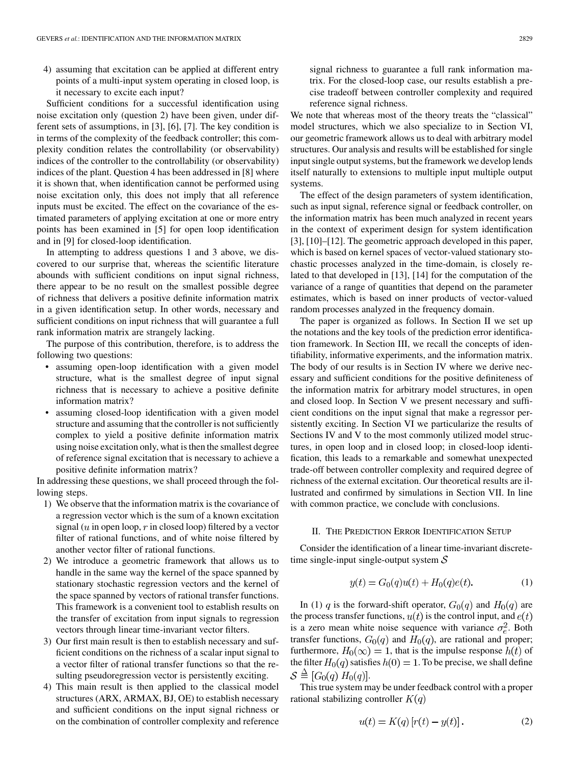4) assuming that excitation can be applied at different entry points of a multi-input system operating in closed loop, is it necessary to excite each input?

Sufficient conditions for a successful identification using noise excitation only (question 2) have been given, under different sets of assumptions, in [3], [6], [7]. The key condition is in terms of the complexity of the feedback controller; this complexity condition relates the controllability (or observability) indices of the controller to the controllability (or observability) indices of the plant. Question 4 has been addressed in [8] where it is shown that, when identification cannot be performed using noise excitation only, this does not imply that all reference inputs must be excited. The effect on the covariance of the estimated parameters of applying excitation at one or more entry points has been examined in [5] for open loop identification and in [9] for closed-loop identification.

In attempting to address questions 1 and 3 above, we discovered to our surprise that, whereas the scientific literature abounds with sufficient conditions on input signal richness, there appear to be no result on the smallest possible degree of richness that delivers a positive definite information matrix in a given identification setup. In other words, necessary and sufficient conditions on input richness that will guarantee a full rank information matrix are strangely lacking.

The purpose of this contribution, therefore, is to address the following two questions:

- assuming open-loop identification with a given model structure, what is the smallest degree of input signal richness that is necessary to achieve a positive definite information matrix?
- assuming closed-loop identification with a given model structure and assuming that the controller is not sufficiently complex to yield a positive definite information matrix using noise excitation only, what is then the smallest degree of reference signal excitation that is necessary to achieve a positive definite information matrix?

In addressing these questions, we shall proceed through the following steps.

- 1) We observe that the information matrix is the covariance of a regression vector which is the sum of a known excitation signal ( $u$  in open loop,  $r$  in closed loop) filtered by a vector filter of rational functions, and of white noise filtered by another vector filter of rational functions.
- 2) We introduce a geometric framework that allows us to handle in the same way the kernel of the space spanned by stationary stochastic regression vectors and the kernel of the space spanned by vectors of rational transfer functions. This framework is a convenient tool to establish results on the transfer of excitation from input signals to regression vectors through linear time-invariant vector filters.
- 3) Our first main result is then to establish necessary and sufficient conditions on the richness of a scalar input signal to a vector filter of rational transfer functions so that the resulting pseudoregression vector is persistently exciting.
- 4) This main result is then applied to the classical model structures (ARX, ARMAX, BJ, OE) to establish necessary and sufficient conditions on the input signal richness or on the combination of controller complexity and reference

We note that whereas most of the theory treats the "classical" model structures, which we also specialize to in Section VI, our geometric framework allows us to deal with arbitrary model structures. Our analysis and results will be established for single input single output systems, but the framework we develop lends itself naturally to extensions to multiple input multiple output systems.

The effect of the design parameters of system identification, such as input signal, reference signal or feedback controller, on the information matrix has been much analyzed in recent years in the context of experiment design for system identification [3], [10]–[12]. The geometric approach developed in this paper, which is based on kernel spaces of vector-valued stationary stochastic processes analyzed in the time-domain, is closely related to that developed in [13], [14] for the computation of the variance of a range of quantities that depend on the parameter estimates, which is based on inner products of vector-valued random processes analyzed in the frequency domain.

The paper is organized as follows. In Section II we set up the notations and the key tools of the prediction error identification framework. In Section III, we recall the concepts of identifiability, informative experiments, and the information matrix. The body of our results is in Section IV where we derive necessary and sufficient conditions for the positive definiteness of the information matrix for arbitrary model structures, in open and closed loop. In Section V we present necessary and sufficient conditions on the input signal that make a regressor persistently exciting. In Section VI we particularize the results of Sections IV and V to the most commonly utilized model structures, in open loop and in closed loop; in closed-loop identification, this leads to a remarkable and somewhat unexpected trade-off between controller complexity and required degree of richness of the external excitation. Our theoretical results are illustrated and confirmed by simulations in Section VII. In line with common practice, we conclude with conclusions.

#### II. THE PREDICTION ERROR IDENTIFICATION SETUP

Consider the identification of a linear time-invariant discretetime single-input single-output system  $S$ 

$$
y(t) = G_0(q)u(t) + H_0(q)e(t).
$$
 (1)

In (1) q is the forward-shift operator,  $G_0(q)$  and  $H_0(q)$  are the process transfer functions,  $u(t)$  is the control input, and  $e(t)$ is a zero mean white noise sequence with variance  $\sigma_e^2$ . Both transfer functions,  $G_0(q)$  and  $H_0(q)$ , are rational and proper; furthermore,  $H_0(\infty) = 1$ , that is the impulse response  $h(t)$  of the filter  $H_0(q)$  satisfies  $h(0) = 1$ . To be precise, we shall define  $S \triangleq [G_0(q) H_0(q)].$ 

This true system may be under feedback control with a proper rational stabilizing controller  $K(q)$ 

$$
u(t) = K(q) [r(t) - y(t)].
$$
 (2)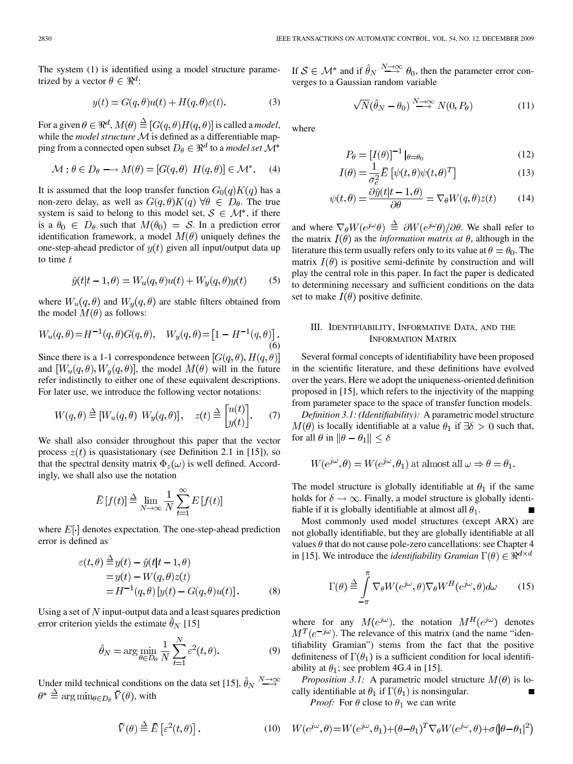The system (1) is identified using a model structure parametrized by a vector  $\theta \in \mathbb{R}^d$ :

$$
y(t) = G(q, \theta)u(t) + H(q, \theta)\varepsilon(t). \tag{3}
$$

For a given  $\theta \in \mathbb{R}^d$ ,  $M(\theta) \stackrel{\Delta}{=} [G(q, \theta)H(q, \theta)]$  is called a *model*, while the *model structure*  $M$  is defined as a differentiable mapping from a connected open subset  $D_{\theta} \in \mathbb{R}^d$  to a *model set*  $\mathcal{M}^*$ 

$$
\mathcal{M} : \theta \in D_{\theta} \longrightarrow M(\theta) = [G(q, \theta) \ H(q, \theta)] \in \mathcal{M}^*.
$$
 (4)

It is assumed that the loop transfer function  $G_0(q)K(q)$  has a non-zero delay, as well as  $G(q, \theta)K(q)$   $\forall \theta \in D_{\theta}$ . The true system is said to belong to this model set,  $S \in \mathcal{M}^*$ , if there is a  $\theta_0 \in D_\theta$  such that  $M(\theta_0) = S$ . In a prediction error identification framework, a model  $M(\theta)$  uniquely defines the one-step-ahead predictor of  $y(t)$  given all input/output data up to time  $t$ 

$$
\hat{y}(t|t-1,\theta) = W_u(q,\theta)u(t) + W_y(q,\theta)y(t) \tag{5}
$$

where  $W_u(q, \theta)$  and  $W_y(q, \theta)$  are stable filters obtained from the model  $M(\theta)$  as follows:

$$
W_u(q, \theta) = H^{-1}(q, \theta)G(q, \theta), \quad W_y(q, \theta) = [1 - H^{-1}(q, \theta)].
$$
\n(6)

Since there is a 1-1 correspondence between  $[G(q, \theta), H(q, \theta)]$ and  $[W_u(q, \theta), W_u(q, \theta)]$ , the model  $M(\theta)$  will in the future refer indistinctly to either one of these equivalent descriptions. For later use, we introduce the following vector notations:

$$
W(q,\theta) \stackrel{\Delta}{=} [W_u(q,\theta) \ W_y(q,\theta)], \quad z(t) \stackrel{\Delta}{=} \begin{bmatrix} u(t) \\ y(t) \end{bmatrix}.
$$
 (7)

We shall also consider throughout this paper that the vector process  $z(t)$  is quasistationary (see Definition 2.1 in [15]), so that the spectral density matrix  $\Phi_z(\omega)$  is well defined. Accordingly, we shall also use the notation

$$
\bar{E}\left[f(t)\right] \stackrel{\Delta}{=} \lim_{N \to \infty} \frac{1}{N} \sum_{t=1}^{\infty} E\left[f(t)\right]
$$

where  $E[\cdot]$  denotes expectation. The one-step-ahead prediction error is defined as

$$
\varepsilon(t,\theta) \stackrel{\triangle}{=} y(t) - \hat{y}(t|t-1,\theta)
$$
  
=  $y(t) - W(q,\theta)z(t)$   
=  $H^{-1}(q,\theta) [y(t) - G(q,\theta)u(t)].$  (8)

Using a set of  $N$  input-output data and a least squares prediction error criterion yields the estimate  $\theta_N$  [15]

$$
\hat{\theta}_N = \arg\min_{\theta \in D_\theta} \frac{1}{N} \sum_{t=1}^N \varepsilon^2(t, \theta). \tag{9}
$$

Under mild technical conditions on the data set [15],  $\hat{\theta}_N \stackrel{N \to \infty}{\longrightarrow}$  $\theta^* \triangleq \arg \min_{\theta \in D_a} \bar{V}(\theta)$ , with

$$
\bar{V}(\theta) \stackrel{\Delta}{=} \bar{E} \left[ \varepsilon^2(t, \theta) \right]. \tag{10}
$$

If  $S \in \mathcal{M}^*$  and if  $\hat{\theta}_N \stackrel{N \to \infty}{\longrightarrow} \theta_0$ , then the parameter error converges to a Gaussian random variable

$$
\sqrt{N}(\hat{\theta}_N - \theta_0) \xrightarrow{N \to \infty} N(0, P_{\theta})
$$
\n(11)

where

$$
P_{\theta} = \left[I(\theta)\right]^{-1} \mid_{\theta = \theta_0} \tag{12}
$$

$$
I(\theta) = \frac{1}{\sigma_e^2} \bar{E} \left[ \psi(t, \theta) \psi(t, \theta)^T \right]
$$
 (13)

$$
\psi(t,\theta) = \frac{\partial \hat{y}(t|t-1,\theta)}{\partial \theta} = \nabla_{\theta} W(q,\theta) z(t)
$$
 (14)

and where  $\nabla_{\theta}W(e^{j\omega}\theta) \triangleq \partial W(e^{j\omega}\theta)/\partial\theta$ . We shall refer to the matrix  $I(\theta)$  as the *information matrix at*  $\theta$ , although in the literature this term usually refers only to its value at  $\theta = \theta_0$ . The matrix  $I(\theta)$  is positive semi-definite by construction and will play the central role in this paper. In fact the paper is dedicated to determining necessary and sufficient conditions on the data set to make  $I(\theta)$  positive definite.

## III. IDENTIFIABILITY, INFORMATIVE DATA, AND THE INFORMATION MATRIX

Several formal concepts of identifiability have been proposed in the scientific literature, and these definitions have evolved over the years. Here we adopt the uniqueness-oriented definition proposed in [15], which refers to the injectivity of the mapping from parameter space to the space of transfer function models.

*Definition 3.1: (Identifiability):* A parametric model structure  $M(\theta)$  is locally identifiable at a value  $\theta_1$  if  $\exists \delta > 0$  such that, for all  $\theta$  in  $\|\theta - \theta_1\| \leq \delta$ 

$$
W(e^{j\omega}, \theta) = W(e^{j\omega}, \theta_1) \text{ at almost all } \omega \Rightarrow \theta = \theta_1.
$$

The model structure is globally identifiable at  $\theta_1$  if the same holds for  $\delta \to \infty$ . Finally, a model structure is globally identifiable if it is globally identifiable at almost all  $\theta_1$ .

Most commonly used model structures (except ARX) are not globally identifiable, but they are globally identifiable at all values  $\theta$  that do not cause pole-zero cancellations: see Chapter 4 in [15]. We introduce the *identifiability Gramian*  $\Gamma(\theta) \in \mathbb{R}^{d \times d}$ 

$$
\Gamma(\theta) \stackrel{\Delta}{=} \int_{-\pi}^{\pi} \nabla_{\theta} W(e^{j\omega}, \theta) \nabla_{\theta} W^{H}(e^{j\omega}, \theta) d\omega \qquad (15)
$$

where for any  $M(e^{j\omega})$ , the notation  $M^H(e^{j\omega})$  denotes  $M^T(e^{-j\omega})$ . The relevance of this matrix (and the name "identifiability Gramian") stems from the fact that the positive definiteness of  $\Gamma(\theta_1)$  is a sufficient condition for local identifiability at  $\theta_1$ ; see problem 4G.4 in [15].

*Proposition 3.1:* A parametric model structure  $M(\theta)$  is locally identifiable at  $\theta_1$  if  $\Gamma(\theta_1)$  is nonsingular. П

*Proof:* For  $\theta$  close to  $\theta_1$  we can write

$$
W(e^{j\omega}, \theta) = W(e^{j\omega}, \theta_1) + (\theta - \theta_1)^T \nabla_{\theta} W(e^{j\omega}, \theta) + \sigma (\theta - \theta_1)^2)
$$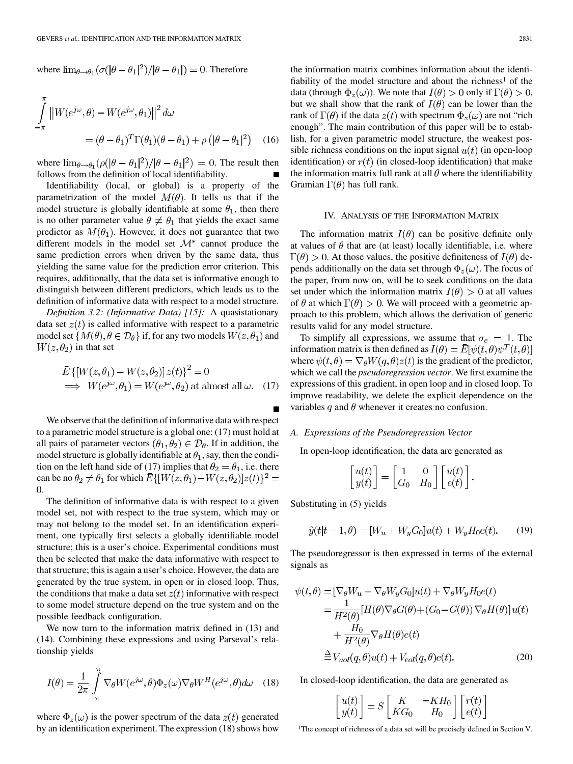where  $\lim_{\theta \to \theta_1} (\sigma(|\theta - \theta_1|^2)/|\theta - \theta_1|) = 0$ . Therefore

$$
\int_{-\pi}^{\pi} \left| W(e^{j\omega}, \theta) - W(e^{j\omega}, \theta_1) \right|^2 d\omega
$$

$$
= (\theta - \theta_1)^T \Gamma(\theta_1) (\theta - \theta_1) + \rho \left( |\theta - \theta_1|^2 \right) \tag{16}
$$

where  $\lim_{\theta \to \theta_1} (\rho(|\theta - \theta_1|^2)/|\theta - \theta_1|^2) = 0$ . The result then follows from the definition of local identifiability.

Identifiability (local, or global) is a property of the parametrization of the model  $M(\theta)$ . It tells us that if the model structure is globally identifiable at some  $\theta_1$ , then there is no other parameter value  $\theta \neq \theta_1$  that yields the exact same predictor as  $M(\theta_1)$ . However, it does not guarantee that two different models in the model set  $\mathcal{M}^*$  cannot produce the same prediction errors when driven by the same data, thus yielding the same value for the prediction error criterion. This requires, additionally, that the data set is informative enough to distinguish between different predictors, which leads us to the definition of informative data with respect to a model structure.

*Definition 3.2: (Informative Data) [15]:* A quasistationary data set  $z(t)$  is called informative with respect to a parametric model set  $\{M(\theta), \theta \in \mathcal{D}_{\theta}\}\$ if, for any two models  $W(z, \theta_1)$  and  $W(z, \theta_2)$  in that set

$$
\bar{E}\left\{[W(z,\theta_1) - W(z,\theta_2)]z(t)\right\}^2 = 0
$$
  
\n
$$
\implies W(e^{j\omega}, \theta_1) = W(e^{j\omega}, \theta_2) \text{ at almost all } \omega. \quad (17)
$$

We observe that the definition of informative data with respect to a parametric model structure is a global one: (17) must hold at all pairs of parameter vectors  $(\theta_1, \theta_2) \in \mathcal{D}_{\theta}$ . If in addition, the model structure is globally identifiable at  $\theta_1$ , say, then the condition on the left hand side of (17) implies that  $\theta_2 = \theta_1$ , i.e. there can be no  $\theta_2 \neq \theta_1$  for which  $\bar{E} \{ [W(z, \theta_1) - W(z, \theta_2)] z(t) \}^2$  = 0.

The definition of informative data is with respect to a given model set, not with respect to the true system, which may or may not belong to the model set. In an identification experiment, one typically first selects a globally identifiable model structure; this is a user's choice. Experimental conditions must then be selected that make the data informative with respect to that structure; this is again a user's choice. However, the data are generated by the true system, in open or in closed loop. Thus, the conditions that make a data set  $z(t)$  informative with respect to some model structure depend on the true system and on the possible feedback configuration.

We now turn to the information matrix defined in (13) and (14). Combining these expressions and using Parseval's relationship yields

$$
I(\theta) = \frac{1}{2\pi} \int_{-\pi}^{\pi} \nabla_{\theta} W(e^{j\omega}, \theta) \Phi_{z}(\omega) \nabla_{\theta} W^{H}(e^{j\omega}, \theta) d\omega \quad (18)
$$

where  $\Phi_z(\omega)$  is the power spectrum of the data  $z(t)$  generated by an identification experiment. The expression (18) shows how the information matrix combines information about the identifiability of the model structure and about the richness<sup>1</sup> of the data (through  $\Phi_z(\omega)$ ). We note that  $I(\theta) > 0$  only if  $\Gamma(\theta) > 0$ , but we shall show that the rank of  $I(\theta)$  can be lower than the rank of  $\Gamma(\theta)$  if the data  $z(t)$  with spectrum  $\Phi_z(\omega)$  are not "rich" enough". The main contribution of this paper will be to establish, for a given parametric model structure, the weakest possible richness conditions on the input signal  $u(t)$  (in open-loop identification) or  $r(t)$  (in closed-loop identification) that make the information matrix full rank at all  $\theta$  where the identifiability Gramian  $\Gamma(\theta)$  has full rank.

#### IV. ANALYSIS OF THE INFORMATION MATRIX

The information matrix  $I(\theta)$  can be positive definite only at values of  $\theta$  that are (at least) locally identifiable, i.e. where  $\Gamma(\theta) > 0$ . At those values, the positive definiteness of  $I(\theta)$  depends additionally on the data set through  $\Phi_z(\omega)$ . The focus of the paper, from now on, will be to seek conditions on the data set under which the information matrix  $I(\theta) > 0$  at all values of  $\theta$  at which  $\Gamma(\theta) > 0$ . We will proceed with a geometric approach to this problem, which allows the derivation of generic results valid for any model structure.

To simplify all expressions, we assume that  $\sigma_e = 1$ . The information matrix is then defined as  $I(\theta) = \overline{E}[\psi(t,\theta)\psi^T(t,\theta)]$ where  $\psi(t,\theta) = \nabla_{\theta} W(q,\theta) z(t)$  is the gradient of the predictor, which we call the *pseudoregression vector*. We first examine the expressions of this gradient, in open loop and in closed loop. To improve readability, we delete the explicit dependence on the variables q and  $\theta$  whenever it creates no confusion.

## *A. Expressions of the Pseudoregression Vector*

In open-loop identification, the data are generated as

$$
\begin{bmatrix} u(t) \\ y(t) \end{bmatrix} = \begin{bmatrix} 1 & 0 \\ G_0 & H_0 \end{bmatrix} \begin{bmatrix} u(t) \\ e(t) \end{bmatrix}.
$$

Substituting in (5) yields

$$
\hat{y}(t|t-1,\theta) = [W_u + W_y G_0]u(t) + W_y H_0 e(t).
$$
 (19)

The pseudoregressor is then expressed in terms of the external signals as

$$
\psi(t,\theta) = [\nabla_{\theta}W_{u} + \nabla_{\theta}W_{y}G_{0}]u(t) + \nabla_{\theta}W_{y}H_{0}e(t)
$$
  
\n
$$
= \frac{1}{H^{2}(\theta)}[H(\theta)\nabla_{\theta}G(\theta) + (G_{0} - G(\theta))\nabla_{\theta}H(\theta)]u(t)
$$
  
\n
$$
+ \frac{H_{0}}{H^{2}(\theta)}\nabla_{\theta}H(\theta)e(t)
$$
  
\n
$$
\stackrel{\triangle}{=} V_{uol}(q,\theta)u(t) + V_{eol}(q,\theta)e(t).
$$
 (20)

In closed-loop identification, the data are generated as

$$
\begin{bmatrix} u(t) \\ y(t) \end{bmatrix} = S \begin{bmatrix} K & -KH_0 \\ KG_0 & H_0 \end{bmatrix} \begin{bmatrix} r(t) \\ e(t) \end{bmatrix}
$$

<sup>1</sup>The concept of richness of a data set will be precisely defined in Section V.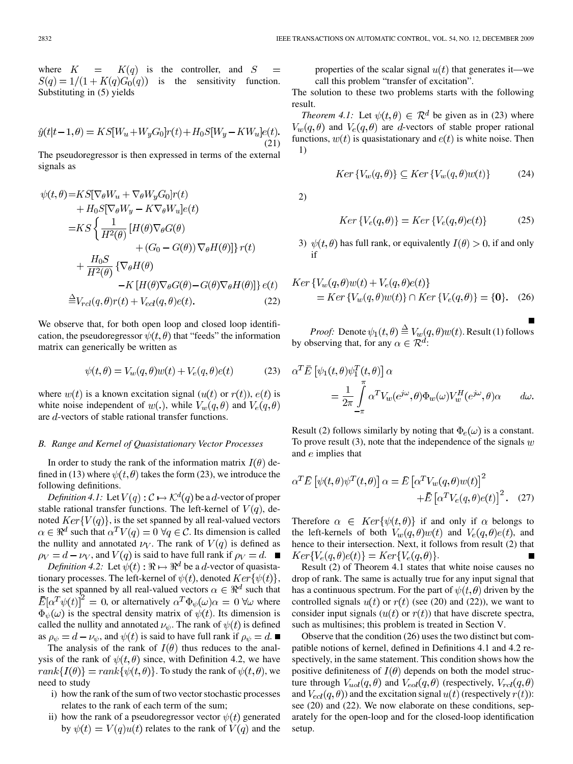where  $K = K(q)$  is the controller, and S  $\equiv$  $S(q) = 1/(1 + K(q)G<sub>0</sub>(q))$  is the sensitivity function. Substituting in (5) yields

$$
\hat{y}(t|t-1,\theta) = KS[W_u + W_y G_0]r(t) + H_0S[W_y - KW_u]e(t).
$$
\n(21)

The pseudoregressor is then expressed in terms of the external signals as

$$
\psi(t,\theta) = KS[\nabla_{\theta}W_{u} + \nabla_{\theta}W_{y}G_{0}]r(t) \n+ H_{0}S[\nabla_{\theta}W_{y} - K\nabla_{\theta}W_{u}]e(t) \n=KS\left\{\frac{1}{H^{2}(\theta)}\left[H(\theta)\nabla_{\theta}G(\theta) + (G_{0} - G(\theta))\nabla_{\theta}H(\theta)\right]\right\}r(t) \n+ \frac{H_{0}S}{H^{2}(\theta)}\left\{\nabla_{\theta}H(\theta) - K\left[H(\theta)\nabla_{\theta}G(\theta) - G(\theta)\nabla_{\theta}H(\theta)\right]\right\}e(t) \n=V_{rel}(q,\theta)r(t) + V_{ecl}(q,\theta)e(t).
$$
\n(22)

We observe that, for both open loop and closed loop identification, the pseudoregressor  $\psi(t, \theta)$  that "feeds" the information matrix can generically be written as

$$
\psi(t,\theta) = V_w(q,\theta)w(t) + V_e(q,\theta)e(t)
$$
\n(23)

where  $w(t)$  is a known excitation signal  $(u(t)$  or  $r(t)$ ),  $e(t)$  is white noise independent of  $w(.)$ , while  $V_w(q, \theta)$  and  $V_e(q, \theta)$ are  $d$ -vectors of stable rational transfer functions.

## *B. Range and Kernel of Quasistationary Vector Processes*

In order to study the rank of the information matrix  $I(\theta)$  defined in (13) where  $\psi(t, \theta)$  takes the form (23), we introduce the following definitions.

*Definition 4.1:* Let  $V(q)$  :  $C \mapsto \mathcal{K}^d(q)$  be a *d*-vector of proper stable rational transfer functions. The left-kernel of  $V(q)$ , denoted  $Ker\{V(q)\}\$ , is the set spanned by all real-valued vectors  $\alpha \in \Re^d$  such that  $\alpha^T V(q) = 0 \ \forall q \in \mathcal{C}$ . Its dimension is called the nullity and annotated  $\nu_V$ . The rank of  $V(q)$  is defined as  $\rho_V = d - \nu_V$ , and  $V(q)$  is said to have full rank if  $\rho_V = d$ .

*Definition 4.2:* Let  $\psi(t): \Re \mapsto \Re^d$  be a *d*-vector of quasistationary processes. The left-kernel of  $\psi(t)$ , denoted  $Ker{\psi(t)}$ , is the set spanned by all real-valued vectors  $\alpha \in \mathbb{R}^d$  such that  $\bar{E}[\alpha^T\psi(t)]^2 = 0$ , or alternatively  $\alpha^T\Phi_{\psi}(\omega)\alpha = 0 \,\forall \omega$  where  $\Phi_{\psi}(\omega)$  is the spectral density matrix of  $\psi(t)$ . Its dimension is called the nullity and annotated  $\nu_{\psi}$ . The rank of  $\psi(t)$  is defined as  $\rho_{\psi} = d - \nu_{\psi}$ , and  $\psi(t)$  is said to have full rank if  $\rho_{\psi} = d$ .

The analysis of the rank of  $I(\theta)$  thus reduces to the analysis of the rank of  $\psi(t,\theta)$  since, with Definition 4.2, we have  $rank\{I(\theta)\} = rank\{\psi(t,\theta)\}.$  To study the rank of  $\psi(t,\theta)$ , we need to study

- i) how the rank of the sum of two vector stochastic processes relates to the rank of each term of the sum;
- ii) how the rank of a pseudoregressor vector  $\psi(t)$  generated by  $\psi(t) = V(q)u(t)$  relates to the rank of  $V(q)$  and the

properties of the scalar signal  $u(t)$  that generates it—we call this problem "transfer of excitation".

The solution to these two problems starts with the following result.

*Theorem 4.1:* Let  $\psi(t,\theta) \in \mathbb{R}^d$  be given as in (23) where  $V_w(q, \theta)$  and  $V_e(q, \theta)$  are d-vectors of stable proper rational functions,  $w(t)$  is quasistationary and  $e(t)$  is white noise. Then 1)

$$
Ker\{V_w(q,\theta)\} \subseteq Ker\{V_w(q,\theta)w(t)\}
$$
 (24)

2)

$$
Ker\{V_e(q,\theta)\} = Ker\{V_e(q,\theta)e(t)\}
$$
 (25)

3)  $\psi(t, \theta)$  has full rank, or equivalently  $I(\theta) > 0$ , if and only if

$$
Ker \{V_w(q, \theta)w(t) + V_e(q, \theta)e(t)\}
$$
  
=  $Ker \{V_w(q, \theta)w(t)\} \cap Ker \{V_e(q, \theta)\} = \{\mathbf{0}\}.$  (26)

*Proof:* Denote  $\psi_1(t, \theta) \stackrel{\Delta}{=} V_w(q, \theta) w(t)$ . Result (1) follows by observing that, for any  $\alpha \in \mathbb{R}^d$ :

$$
\alpha^T \bar{E} \left[ \psi_1(t, \theta) \psi_1^T(t, \theta) \right] \alpha
$$
  
= 
$$
\frac{1}{2\pi} \int_{-\pi}^{\pi} \alpha^T V_w(e^{j\omega}, \theta) \Phi_w(\omega) V_w^H(e^{j\omega}, \theta) \alpha \quad d\omega.
$$

Result (2) follows similarly by noting that  $\Phi_e(\omega)$  is a constant. To prove result (3), note that the independence of the signals  $w$ and  $e$  implies that

$$
\alpha^T \bar{E} \left[ \psi(t,\theta) \psi^T(t,\theta) \right] \alpha = \bar{E} \left[ \alpha^T V_w(q,\theta) w(t) \right]^2
$$

$$
+ \bar{E} \left[ \alpha^T V_e(q,\theta) e(t) \right]^2. \quad (27)
$$

Therefore  $\alpha \in Ker\{\psi(t,\theta)\}\$ if and only if  $\alpha$  belongs to the left-kernels of both  $V_w(q, \theta)w(t)$  and  $V_e(q, \theta)e(t)$ , and hence to their intersection. Next, it follows from result (2) that  $Ker\{V_e(q,\theta)e(t)\}=Ker\{V_e(q,\theta)\}.$ 

Result (2) of Theorem 4.1 states that white noise causes no drop of rank. The same is actually true for any input signal that has a continuous spectrum. For the part of  $\psi(t, \theta)$  driven by the controlled signals  $u(t)$  or  $r(t)$  (see (20) and (22)), we want to consider input signals  $(u(t))$  or  $r(t)$  that have discrete spectra, such as multisines; this problem is treated in Section V.

Observe that the condition (26) uses the two distinct but compatible notions of kernel, defined in Definitions 4.1 and 4.2 respectively, in the same statement. This condition shows how the positive definiteness of  $I(\theta)$  depends on both the model structure through  $V_{uol}(q, \theta)$  and  $V_{eol}(q, \theta)$  (respectively,  $V_{rel}(q, \theta)$ ) and  $V_{ecl}(q, \theta)$  and the excitation signal  $u(t)$  (respectively  $r(t)$ ): see (20) and (22). We now elaborate on these conditions, separately for the open-loop and for the closed-loop identification setup.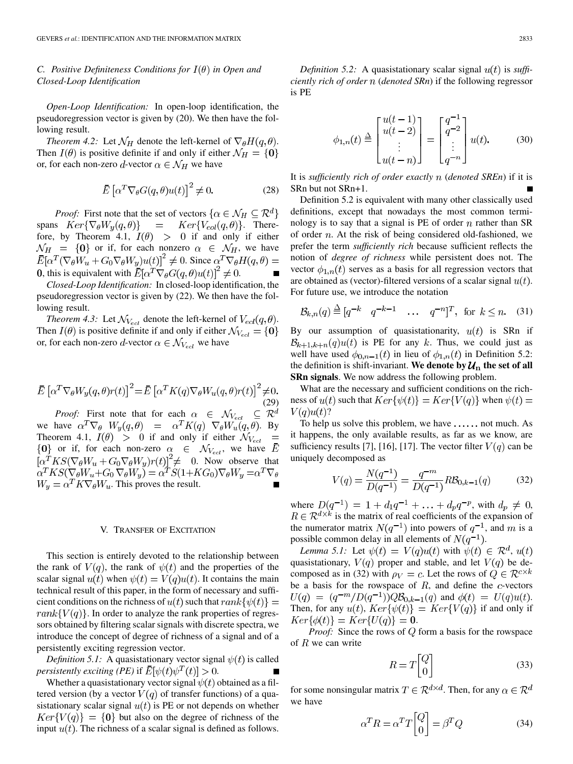# *C. Positive Definiteness Conditions for*  $I(\theta)$  *in Open and Closed-Loop Identification*

*Open-Loop Identification:* In open-loop identification, the pseudoregression vector is given by (20). We then have the following result.

*Theorem 4.2:* Let  $\mathcal{N}_H$  denote the left-kernel of  $\nabla_{\theta} H(q, \theta)$ . Then  $I(\theta)$  is positive definite if and only if either  $\mathcal{N}_H = \{0\}$ or, for each non-zero d-vector  $\alpha \in \mathcal{N}_H$  we have

$$
\bar{E}\left[\alpha^T \nabla_{\theta} G(q,\theta) u(t)\right]^2 \neq 0. \tag{28}
$$

*Proof:* First note that the set of vectors  $\{\alpha \in \mathcal{N}_H \subseteq \mathcal{R}^d\}$ spans  $Ker\{\nabla_{\theta}W_y(q,\theta)\}$  =  $Ker\{V_{eol}(q,\theta)\}$ . Therefore, by Theorem 4.1,  $I(\theta) > 0$  if and only if either  $\mathcal{N}_H = \{0\}$  or if, for each nonzero  $\alpha \in \mathcal{N}_H$ , we have  $\overline{E}[\alpha^T(\nabla_\theta W_u + G_0 \nabla_\theta W_y)u(t)]^2 \neq 0$ . Since  $\alpha^T \nabla_\theta H(q, \theta) =$ **0**, this is equivalent with  $\overline{E}[\alpha^T \nabla_{\theta} G(q, \theta) u(t)]^2 \neq 0$ .

*Closed-Loop Identification:* In closed-loop identification, the pseudoregression vector is given by (22). We then have the following result.

*Theorem 4.3:* Let  $\mathcal{N}_{V_{ecl}}$  denote the left-kernel of  $V_{ecl}(q, \theta)$ . Then  $I(\theta)$  is positive definite if and only if either  $\mathcal{N}_{V_{ecl}} = \{0\}$ or, for each non-zero d-vector  $\alpha \in \mathcal{N}_{Vecl}$  we have

$$
\bar{E} \left[ \alpha^T \nabla_{\theta} W_y(q, \theta) r(t) \right]^2 = \bar{E} \left[ \alpha^T K(q) \nabla_{\theta} W_u(q, \theta) r(t) \right]^2 \neq 0. \tag{29}
$$

*Proof:* First note that for each  $\alpha \in \mathcal{N}_{V_{ecl}} \subseteq \mathcal{R}^d$ we have  $\alpha^T \nabla_{\theta} W_y(q, \theta) = \alpha^T K(q) \nabla_{\theta} W_u(q, \theta)$ . By Theorem 4.1,  $I(\theta) > 0$  if and only if either or if, for each non-zero  $\alpha \in \mathcal{N}_{V_{ecl}}$ , we have . Now observe that  $W_y = \alpha^T K \nabla_{\theta} W_u$ . This proves the result.

## V. TRANSFER OF EXCITATION

This section is entirely devoted to the relationship between the rank of  $V(q)$ , the rank of  $\psi(t)$  and the properties of the scalar signal  $u(t)$  when  $\psi(t) = V(q)u(t)$ . It contains the main technical result of this paper, in the form of necessary and sufficient conditions on the richness of  $u(t)$  such that  $rank\{\psi(t)\}$  =  $rank\{V(q)\}\.$  In order to analyze the rank properties of regressors obtained by filtering scalar signals with discrete spectra, we introduce the concept of degree of richness of a signal and of a persistently exciting regression vector.

*Definition 5.1:* A quasistationary vector signal  $\psi(t)$  is called *persistently exciting (PE)* if  $\bar{E}[\psi(t)\psi^{T}(t)] > 0$ . П

Whether a quasistationary vector signal  $\psi(t)$  obtained as a filtered version (by a vector  $V(q)$  of transfer functions) of a quasistationary scalar signal  $u(t)$  is PE or not depends on whether  $Ker{V(q)} = {0}$  but also on the degree of richness of the input  $u(t)$ . The richness of a scalar signal is defined as follows.

*Definition 5.2:* A quasistationary scalar signal  $u(t)$  is *sufficiently rich of order* n (*denoted SRn*) if the following regressor is PE

$$
\phi_{1,n}(t) \stackrel{\Delta}{=} \begin{bmatrix} u(t-1) \\ u(t-2) \\ \vdots \\ u(t-n) \end{bmatrix} = \begin{bmatrix} q^{-1} \\ q^{-2} \\ \vdots \\ q^{-n} \end{bmatrix} u(t). \tag{30}
$$

It is *sufficiently rich of order exactly* n (*denoted SREn*) if it is SRn but not SRn+1.

Definition 5.2 is equivalent with many other classically used definitions, except that nowadays the most common terminology is to say that a signal is PE of order  $n$  rather than SR of order  $n$ . At the risk of being considered old-fashioned, we prefer the term *sufficiently rich* because sufficient reflects the notion of *degree of richness* while persistent does not. The vector  $\phi_{1,n}(t)$  serves as a basis for all regression vectors that are obtained as (vector)-filtered versions of a scalar signal  $u(t)$ . For future use, we introduce the notation

$$
\mathcal{B}_{k,n}(q) \stackrel{\Delta}{=} [q^{-k} \quad q^{-k-1} \quad \dots \quad q^{-n}]^T, \text{ for } k \le n. \tag{31}
$$

By our assumption of quasistationarity,  $u(t)$  is SRn if  $\mathcal{B}_{k+1,k+n}(q)u(t)$  is PE for any k. Thus, we could just as well have used  $\phi_{0,n-1}(t)$  in lieu of  $\phi_{1,n}(t)$  in Definition 5.2: the definition is shift-invariant. We denote by  $\mathcal{U}_n$  the set of all **SRn signals**. We now address the following problem.

What are the necessary and sufficient conditions on the richness of  $u(t)$  such that  $Ker{\psi(t)} = Ker{V(q)}$  when  $\psi(t) =$  $V(q)u(t)$ ?

To help us solve this problem, we have  $\dots$  not much. As it happens, the only available results, as far as we know, are sufficiency results [7], [16], [17]. The vector filter  $V(q)$  can be uniquely decomposed as

$$
V(q) = \frac{N(q^{-1})}{D(q^{-1})} = \frac{q^{-m}}{D(q^{-1})} R \mathcal{B}_{0,k-1}(q)
$$
 (32)

where  $D(q^{-1}) = 1 + d_1 q^{-1} + \ldots + d_p q^{-p}$ , with  $d_p \neq 0$ ,  $R \in \mathcal{R}^{d \times k}$  is the matrix of real coefficients of the expansion of the numerator matrix  $N(q^{-1})$  into powers of  $q^{-1}$ , and m is a possible common delay in all elements of  $N(q^{-1})$ .

*Lemma 5.1:* Let  $\psi(t) = V(q)u(t)$  with  $\psi(t) \in \mathbb{R}^d$ ,  $u(t)$ quasistationary,  $V(q)$  proper and stable, and let  $V(q)$  be decomposed as in (32) with  $\rho_V = c$ . Let the rows of  $Q \in \mathcal{R}^{c \times k}$ be a basis for the rowspace of  $R$ , and define the  $c$ -vectors  $U(q) = (q^{-m}/D(q^{-1}))QB_{0,k-1}(q)$  and  $\phi(t) = U(q)u(t)$ . Then, for any  $u(t)$ ,  $Ker{\psi(t)} = Ker{V(q)}$  if and only if  $Ker\{\phi(t)\} = Ker\{U(q)\} = 0.$ 

*Proof:* Since the rows of  $Q$  form a basis for the rowspace of  $R$  we can write

$$
R = T \begin{bmatrix} Q \\ 0 \end{bmatrix} \tag{33}
$$

for some nonsingular matrix  $T \in \mathbb{R}^{d \times d}$ . Then, for any  $\alpha \in \mathbb{R}^d$ we have

$$
\alpha^T R = \alpha^T T \begin{bmatrix} Q \\ 0 \end{bmatrix} = \beta^T Q \tag{34}
$$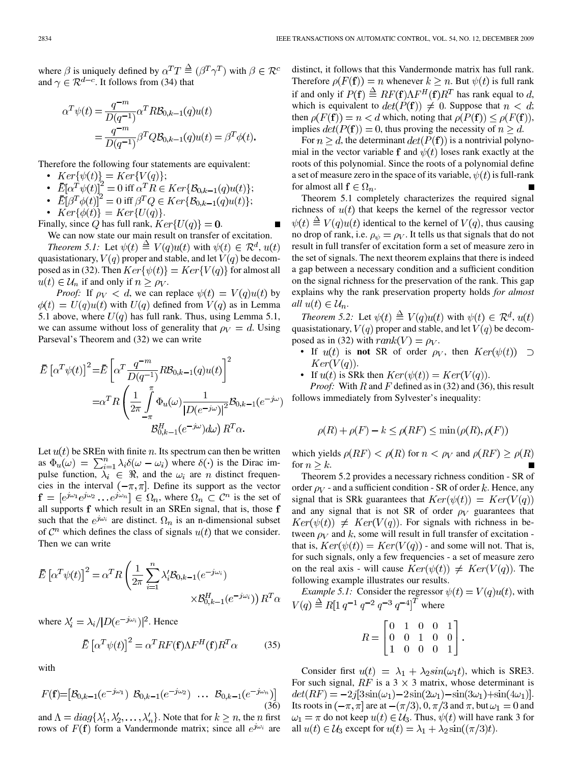where  $\beta$  is uniquely defined by  $\alpha^T T \stackrel{\Delta}{=} (\beta^T \gamma^T)$  with  $\beta \in \mathcal{R}^c$ and  $\gamma \in \mathcal{R}^{d-c}$ . It follows from (34) that

$$
\alpha^T \psi(t) = \frac{q^{-m}}{D(q^{-1})} \alpha^T R \mathcal{B}_{0,k-1}(q) u(t)
$$

$$
= \frac{q^{-m}}{D(q^{-1})} \beta^T Q \mathcal{B}_{0,k-1}(q) u(t) = \beta^T \phi(t)
$$

Therefore the following four statements are equivalent:

- $Ker\{\psi(t)\}=Ker\{V(q)\};$
- $\overline{E}[\alpha^T\psi(t)]^2 = 0$  iff  $\alpha^T R \in Ker\{\mathcal{B}_{0,k-1}(q)u(t)\};$
- $\overline{E}[\beta^T \phi(t)]^2 = 0$  iff  $\beta^T Q \in Ker\{\mathcal{B}_{0,k-1}(q)u(t)\};$
- $Ker{\phi(t)} = Ker{U(q)}$ .

Finally, since Q has full rank,  $Ker\{U(q)\} = 0$ .

We can now state our main result on transfer of excitation. *Theorem 5.1:* Let  $\psi(t) \triangleq V(q)u(t)$  with  $\psi(t) \in \mathbb{R}^d$ ,  $u(t)$ quasistationary,  $V(q)$  proper and stable, and let  $V(q)$  be decomposed as in (32). Then  $Ker\{\psi(t)\}=Ker\{V(q)\}\$ for almost all  $u(t) \in \mathcal{U}_n$  if and only if  $n \ge \rho_V$ .

*Proof:* If  $\rho_V < d$ , we can replace  $\psi(t) = V(q)u(t)$  by  $\phi(t) = U(q)u(t)$  with  $U(q)$  defined from  $V(q)$  as in Lemma 5.1 above, where  $U(q)$  has full rank. Thus, using Lemma 5.1, we can assume without loss of generality that  $\rho_V = d$ . Using Parseval's Theorem and (32) we can write

$$
\bar{E} \left[ \alpha^T \psi(t) \right]^2 = \bar{E} \left[ \alpha^T \frac{q^{-m}}{D(q^{-1})} R \mathcal{B}_{0,k-1}(q) u(t) \right]^2
$$
  

$$
= \alpha^T R \left( \frac{1}{2\pi} \int_{-\pi}^{\pi} \Phi_u(\omega) \frac{1}{\left[ D(e^{-j\omega}) \right]^2} \mathcal{B}_{0,k-1}(e^{-j\omega}) d\omega \right)
$$
  

$$
\mathcal{B}_{0,k-1}^H(e^{-j\omega}) d\omega \right) R^T \alpha.
$$

Let  $u(t)$  be SREn with finite n. Its spectrum can then be written as  $\Phi_u(\omega) = \sum_{i=1}^n \lambda_i \delta(\omega - \omega_i)$  where  $\delta(\cdot)$  is the Dirac impulse function,  $\lambda_i \in \Re$ , and the  $\omega_i$  are *n* distinct frequencies in the interval  $(-\pi, \pi]$ . Define its support as the vector  $\mathbf{f} = [e^{j\omega_1}e^{j\omega_2}\dots e^{j\omega_n}] \in \Omega_n$ , where  $\Omega_n \subset \mathcal{C}^n$  is the set of all supports  $f$  which result in an SREn signal, that is, those  $f$ such that the  $e^{j\omega_i}$  are distinct.  $\Omega_n$  is an n-dimensional subset of  $\mathcal{C}^n$  which defines the class of signals  $u(t)$  that we consider. Then we can write

$$
\bar{E} \left[ \alpha^T \psi(t) \right]^2 = \alpha^T R \left( \frac{1}{2\pi} \sum_{i=1}^n \lambda_i' \mathcal{B}_{0,k-1}(e^{-j\omega_i}) \right)
$$

$$
\times \mathcal{B}_{0,k-1}^H(e^{-j\omega_i}) \right) R^T \alpha
$$

where  $\lambda'_i = \lambda_i / |D(e^{-j\omega_i})|^2$ . Hence

$$
\bar{E}\left[\alpha^T\psi(t)\right]^2 = \alpha^T RF(\mathbf{f})\Lambda F^H(\mathbf{f})R^T\alpha \tag{35}
$$

with

$$
F(\mathbf{f}) = \begin{bmatrix} \mathcal{B}_{0,k-1}(e^{-j\omega_1}) & \mathcal{B}_{0,k-1}(e^{-j\omega_2}) & \dots & \mathcal{B}_{0,k-1}(e^{-j\omega_n}) \end{bmatrix}
$$
\n(36)

and  $\Lambda = diag\{\lambda'_1, \lambda'_2, \dots, \lambda'_n\}$ . Note that for  $k \geq n$ , the *n* first rows of  $F(f)$  form a Vandermonde matrix; since all  $e^{j\omega_i}$  are

distinct, it follows that this Vandermonde matrix has full rank. Therefore  $\rho(F(\mathbf{f})) = n$  whenever  $k \geq n$ . But  $\psi(t)$  is full rank if and only if  $P(f) \triangleq RF(f)\Lambda F^H(f)R^T$  has rank equal to d, which is equivalent to  $det(P(f)) \neq 0$ . Suppose that  $n < d$ ; then  $\rho(F(f)) = n < d$  which, noting that  $\rho(P(f)) < \rho(F(f))$ , implies  $det(P(f)) = 0$ , thus proving the necessity of  $n > d$ .

For  $n \geq d$ , the determinant  $det(P(f))$  is a nontrivial polynomial in the vector variable f and  $\psi(t)$  loses rank exactly at the roots of this polynomial. Since the roots of a polynomial define a set of measure zero in the space of its variable,  $\psi(t)$  is full-rank for almost all  $f \in \Omega_n$ .

Theorem 5.1 completely characterizes the required signal richness of  $u(t)$  that keeps the kernel of the regressor vector  $\psi(t) \triangleq V(q)u(t)$  identical to the kernel of  $V(q)$ , thus causing no drop of rank, i.e.  $\rho_{\psi} = \rho_V$ . It tells us that signals that do not result in full transfer of excitation form a set of measure zero in the set of signals. The next theorem explains that there is indeed a gap between a necessary condition and a sufficient condition on the signal richness for the preservation of the rank. This gap explains why the rank preservation property holds *for almost all*  $u(t) \in \mathcal{U}_n$ .

*Theorem 5.2:* Let  $\psi(t) \triangleq V(q)u(t)$  with  $\psi(t) \in \mathcal{R}^d$ ,  $u(t)$ quasistationary,  $V(q)$  proper and stable, and let  $V(q)$  be decomposed as in (32) with  $rank(V) = \rho_V$ .

- If  $u(t)$  is **not** SR of order  $\rho_V$ , then  $Ker(\psi(t)) \supset$  $Ker(V(q)).$
- If  $u(t)$  is SRk then  $Ker(\psi(t)) = Ker(V(q))$ .

*Proof:* With  $R$  and  $F$  defined as in (32) and (36), this result follows immediately from Sylvester's inequality:

$$
\rho(R) + \rho(F) - k \le \rho(RF) \le \min(\rho(R), \rho(F))
$$

which yields  $\rho(RF) < \rho(R)$  for  $n < \rho_V$  and  $\rho(RF) \ge \rho(R)$ for  $n \geq k$ .

Theorem 5.2 provides a necessary richness condition - SR of order  $\rho_V$  - and a sufficient condition - SR of order k. Hence, any signal that is SRk guarantees that  $Ker(\psi(t)) = Ker(V(q))$ and any signal that is not SR of order  $\rho_V$  guarantees that  $Ker(\psi(t)) \neq Ker(V(q))$ . For signals with richness in between  $\rho_V$  and k, some will result in full transfer of excitation that is,  $Ker(\psi(t)) = Ker(V(q))$  - and some will not. That is, for such signals, only a few frequencies - a set of measure zero on the real axis - will cause  $Ker(\psi(t)) \neq Ker(V(q))$ . The following example illustrates our results.

*Example 5.1:* Consider the regressor  $\psi(t) = V(q)u(t)$ , with  $V(q) \stackrel{\Delta}{=} R[1 \, q^{-1} \, q^{-2} \, q^{-3} \, q^{-4}]^T$  where

$$
R = \begin{bmatrix} 0 & 1 & 0 & 0 & 1 \\ 0 & 0 & 1 & 0 & 0 \\ 1 & 0 & 0 & 0 & 1 \end{bmatrix}.
$$

Consider first  $u(t) = \lambda_1 + \lambda_2 sin(\omega_1 t)$ , which is SRE3. For such signal,  $RF$  is a 3  $\times$  3 matrix, whose determinant is  $det(RF) = -2j[3\sin(\omega_1) - 2\sin(2\omega_1) - \sin(3\omega_1) + \sin(4\omega_1)].$ Its roots in  $(-\pi, \pi]$  are at  $-(\pi/3)$ , 0,  $\pi/3$  and  $\pi$ , but  $\omega_1 = 0$  and  $\omega_1 = \pi$  do not keep  $u(t) \in \mathcal{U}_3$ . Thus,  $\psi(t)$  will have rank 3 for all  $u(t) \in \mathcal{U}_3$  except for  $u(t) = \lambda_1 + \lambda_2 \sin((\pi/3)t)$ .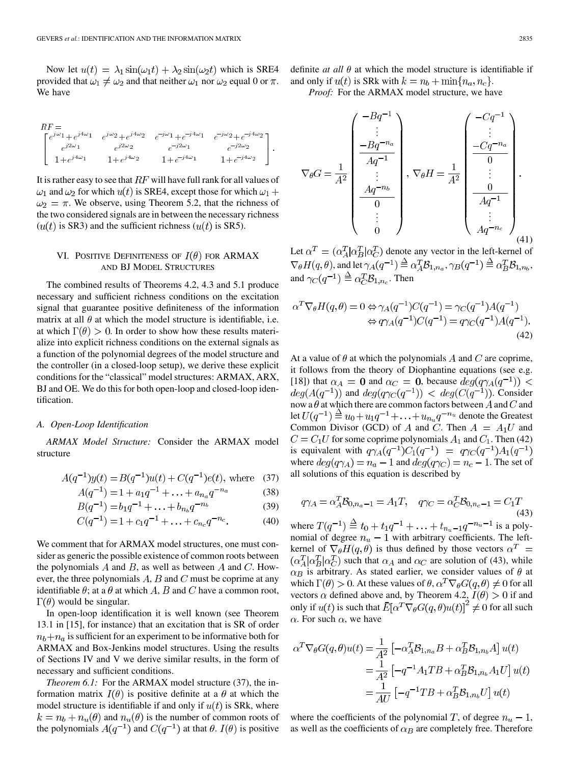Now let  $u(t) = \lambda_1 \sin(\omega_1 t) + \lambda_2 \sin(\omega_2 t)$  which is SRE4 provided that  $\omega_1 \neq \omega_2$  and that neither  $\omega_1$  nor  $\omega_2$  equal 0 or  $\pi$ . We have

| $RF=$                                 |                                |                                    |                                    |
|---------------------------------------|--------------------------------|------------------------------------|------------------------------------|
| $\int e^{j\omega_1} + e^{j4\omega_1}$ | $e^{j\omega_2}+e^{j4\omega_2}$ | $e^{-j\omega_1} + e^{-j4\omega_1}$ | $e^{-j\omega_2}+e^{-j4\omega_2}$ ] |
| $e^{j2\omega_1}$                      | $e^{j2\omega_2}$               | $e^{-j2\omega_1}$                  | $e^{-j2\omega_2}$                  |
| $1+e^{j4\omega_1}$                    | $1+e^{j4\omega_2}$             | $1 + e^{-j4\omega_1}$              | $1 + e^{-j4\omega_2}$              |

It is rather easy to see that  $RF$  will have full rank for all values of  $\omega_1$  and  $\omega_2$  for which  $u(t)$  is SRE4, except those for which  $\omega_1 +$  $\omega_2 = \pi$ . We observe, using Theorem 5.2, that the richness of the two considered signals are in between the necessary richness  $(u(t)$  is SR3) and the sufficient richness  $(u(t)$  is SR5).

# VI. POSITIVE DEFINITENESS OF  $I(\theta)$  for ARMAX AND BJ MODEL STRUCTURES

The combined results of Theorems 4.2, 4.3 and 5.1 produce necessary and sufficient richness conditions on the excitation signal that guarantee positive definiteness of the information matrix at all  $\theta$  at which the model structure is identifiable, i.e. at which  $\Gamma(\theta) > 0$ . In order to show how these results materialize into explicit richness conditions on the external signals as a function of the polynomial degrees of the model structure and the controller (in a closed-loop setup), we derive these explicit conditions for the "classical" model structures: ARMAX, ARX, BJ and OE. We do this for both open-loop and closed-loop identification.

## *A. Open-Loop Identification*

*ARMAX Model Structure:* Consider the ARMAX model structure

$$
A(q^{-1})y(t) = B(q^{-1})u(t) + C(q^{-1})e(t), \text{ where } (37)
$$

$$
A(q^{-1}) = 1 + a_1 q^{-1} + \dots + a_{n_a} q^{-n_a} \tag{38}
$$

$$
B(q^{-1}) = b_1 q^{-1} + \dots + b_{n_b} q^{-n_b} \tag{39}
$$

$$
C(q^{-1}) = 1 + c_1 q^{-1} + \ldots + c_{n_c} q^{-n_c}.
$$
 (40)

We comment that for ARMAX model structures, one must consider as generic the possible existence of common roots between the polynomials  $A$  and  $B$ , as well as between  $A$  and  $C$ . However, the three polynomials  $A$ ,  $B$  and  $C$  must be coprime at any identifiable  $\theta$ ; at a  $\theta$  at which A, B and C have a common root,  $\Gamma(\theta)$  would be singular.

In open-loop identification it is well known (see Theorem 13.1 in [15], for instance) that an excitation that is SR of order  $n_b+n_a$  is sufficient for an experiment to be informative both for ARMAX and Box-Jenkins model structures. Using the results of Sections IV and V we derive similar results, in the form of necessary and sufficient conditions.

*Theorem 6.1:* For the ARMAX model structure (37), the information matrix  $I(\theta)$  is positive definite at a  $\theta$  at which the model structure is identifiable if and only if  $u(t)$  is SRk, where  $k = n_b + n_u(\theta)$  and  $n_u(\theta)$  is the number of common roots of the polynomials  $A(q^{-1})$  and  $C(q^{-1})$  at that  $\theta$ .  $I(\theta)$  is positive

definite *at all*  $\theta$  at which the model structure is identifiable if and only if  $u(t)$  is SRk with  $k = n_b + \min\{n_a, n_c\}$ .

*Proof:* For the ARMAX model structure, we have

$$
\nabla_{\theta} G = \frac{1}{A^2} \begin{pmatrix} -Bq^{-1} \\ \vdots \\ -Bq^{-n_a} \\ \hline Aq^{-1} \\ \vdots \\ Aq^{-n_b} \\ 0 \end{pmatrix}, \nabla_{\theta} H = \frac{1}{A^2} \begin{pmatrix} -Cq^{-1} \\ \vdots \\ -Cq^{-n_a} \\ 0 \\ \vdots \\ 0 \\ Aq^{-1} \\ \vdots \\ Aq^{-n_c} \end{pmatrix}.
$$
\n(41)

Let  $\alpha^T = (\alpha_A^T | \alpha_B^T | \alpha_C^T)$  denote any vector in the left-kernel of  $\nabla_{\theta} H(q, \theta)$ , and let  $\gamma_A(q^{-1}) \stackrel{\Delta}{=} \alpha_A^T \mathcal{B}_{1, n_a}, \gamma_B(q^{-1}) \stackrel{\Delta}{=} \alpha_B^T \mathcal{B}_{1, n_b},$ and  $\gamma_C(q^{-1}) \stackrel{\Delta}{=} \alpha_C^T \mathcal{B}_{1,n_c}$ . Then

$$
\alpha^T \nabla_{\theta} H(q, \theta) = 0 \Leftrightarrow \gamma_A(q^{-1}) C(q^{-1}) = \gamma_C(q^{-1}) A(q^{-1})
$$

$$
\Leftrightarrow q \gamma_A(q^{-1}) C(q^{-1}) = q \gamma_C(q^{-1}) A(q^{-1}).
$$
\n(42)

At a value of  $\theta$  at which the polynomials A and C are coprime, it follows from the theory of Diophantine equations (see e.g. [18]) that  $\alpha_A = 0$  and  $\alpha_C = 0$ , because  $deg(q\gamma_A(q^{-1}))$  <  $deg(A(q^{-1}))$  and  $deg(q\gamma_C(q^{-1})) < deg(C(q^{-1}))$ . Consider now a  $\theta$  at which there are common factors between  $\ddot{A}$  and  $C$  and let  $U(q^{-1}) \stackrel{\Delta}{=} u_0 + u_1 q^{-1} + \ldots + u_{n_u} q^{-n_u}$  denote the Greatest Common Divisor (GCD) of A and C. Then  $A = A_1U$  and  $C = C_1 U$  for some coprime polynomials  $A_1$  and  $C_1$ . Then (42) is equivalent with  $q\gamma_A(q^{-1})C_1(q^{-1}) = q\gamma_C(q^{-1})A_1(q^{-1})$ where  $deg(q\gamma_A) = n_a - 1$  and  $deg(q\gamma_C) = n_c - 1$ . The set of all solutions of this equation is described by

$$
q\gamma_A = \alpha_A^T \mathcal{B}_{0,n_a-1} = A_1 T, \quad q\gamma_C = \alpha_C^T \mathcal{B}_{0,n_c-1} = C_1 T
$$
\n(43)

where  $T(q^{-1}) \stackrel{\Delta}{=} t_0 + t_1 q^{-1} + \ldots + t_{n_u-1} q^{-n_u-1}$  is a polynomial of degree  $n_u - 1$  with arbitrary coefficients. The leftkernel of  $\nabla_{\theta} H(q, \theta)$  is thus defined by those vectors  $\alpha^T$  =  $(\alpha_A^T | \alpha_B^T | \alpha_C^T)$  such that  $\alpha_A$  and  $\alpha_C$  are solution of (43), while  $\alpha_B$  is arbitrary. As stated earlier, we consider values of  $\theta$  at which  $\Gamma(\theta) > 0$ . At these values of  $\theta$ ,  $\alpha^T \nabla_{\theta} G(q, \theta) \neq 0$  for all vectors  $\alpha$  defined above and, by Theorem 4.2,  $I(\theta) > 0$  if and only if  $u(t)$  is such that  $\overline{E}[\alpha^T \nabla_{\theta} G(q, \theta) u(t)]^2 \neq 0$  for all such  $\alpha$ . For such  $\alpha$ , we have

$$
\alpha^T \nabla_{\theta} G(q, \theta) u(t) = \frac{1}{A^2} \left[ -\alpha_A^T \mathcal{B}_{1, n_a} B + \alpha_B^T \mathcal{B}_{1, n_b} A \right] u(t)
$$
  

$$
= \frac{1}{A^2} \left[ -q^{-1} A_1 T B + \alpha_B^T \mathcal{B}_{1, n_b} A_1 U \right] u(t)
$$
  

$$
= \frac{1}{A U} \left[ -q^{-1} T B + \alpha_B^T \mathcal{B}_{1, n_b} U \right] u(t)
$$

where the coefficients of the polynomial T, of degree  $n_u - 1$ , as well as the coefficients of  $\alpha_B$  are completely free. Therefore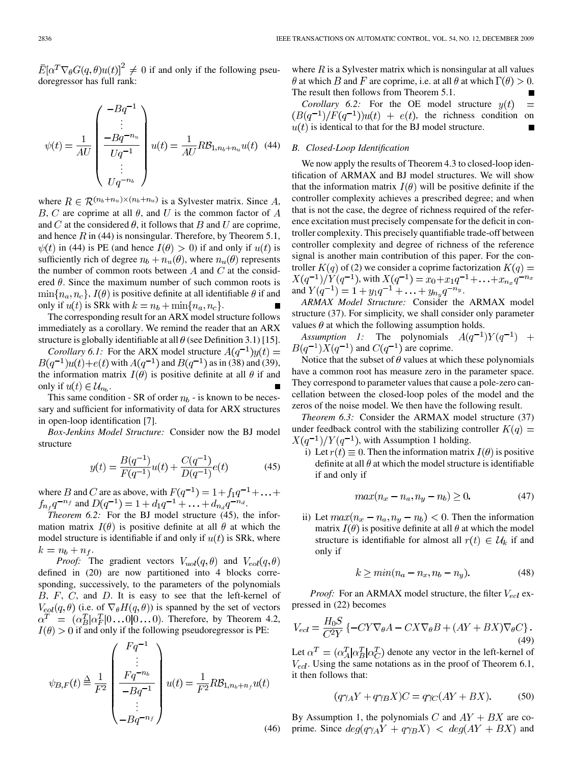$\bar{E}[\alpha^T \nabla_{\theta} G(q, \theta) u(t)]^2 \neq 0$  if and only if the following pseudoregressor has full rank:

$$
\psi(t) = \frac{1}{AU} \begin{pmatrix} -Bq^{-1} \\ \vdots \\ -Bq^{-n_u} \\ Uq^{-1} \\ \vdots \\ Uq^{-n_b} \end{pmatrix} u(t) = \frac{1}{AU} R \mathcal{B}_{1, n_b + n_u} u(t) \quad (44)
$$

where  $R \in \mathcal{R}^{(n_b+n_u)\times (n_b+n_u)}$  is a Sylvester matrix. Since A, B, C are coprime at all  $\theta$ , and U is the common factor of A and C at the considered  $\theta$ , it follows that B and U are coprime, and hence R in (44) is nonsingular. Therefore, by Theorem 5.1,  $\psi(t)$  in (44) is PE (and hence  $I(\theta) > 0$ ) if and only if  $u(t)$  is sufficiently rich of degree  $n_b + n_u(\theta)$ , where  $n_u(\theta)$  represents the number of common roots between  $A$  and  $C$  at the considered  $\theta$ . Since the maximum number of such common roots is  $\min\{n_a, n_c\}$ ,  $I(\theta)$  is positive definite at all identifiable  $\theta$  if and only if  $u(t)$  is SRk with  $k = n_b + \min\{n_a, n_c\}$ .

The corresponding result for an ARX model structure follows immediately as a corollary. We remind the reader that an ARX structure is globally identifiable at all  $\theta$  (see Definition 3.1) [15].

*Corollary 6.1:* For the ARX model structure  $A(q^{-1})y(t) =$  $B(q^{-1})u(t)+e(t)$  with  $A(q^{-1})$  and  $B(q^{-1})$  as in (38) and (39), the information matrix  $I(\theta)$  is positive definite at all  $\theta$  if and only if  $u(t) \in \mathcal{U}_{n_k}$ .

This same condition - SR of order  $n_b$  - is known to be necessary and sufficient for informativity of data for ARX structures in open-loop identification [7].

*Box-Jenkins Model Structure:* Consider now the BJ model structure

$$
y(t) = \frac{B(q^{-1})}{F(q^{-1})}u(t) + \frac{C(q^{-1})}{D(q^{-1})}e(t)
$$
 (45)

where B and C are as above, with  $F(q^{-1}) = 1 + f_1 q^{-1} + \ldots$  $f_{n_f}q^{-n_f}$  and  $D(q^{-1}) = 1 + d_1q^{-1} + \ldots + d_{n_d}q^{-n_d}$ .

*Theorem 6.2:* For the BJ model structure (45), the information matrix  $I(\theta)$  is positive definite at all  $\theta$  at which the model structure is identifiable if and only if  $u(t)$  is SRk, where  $k = n_b + n_f$ .

*Proof:* The gradient vectors  $V_{u \circ l}(q, \theta)$  and  $V_{e \circ l}(q, \theta)$ defined in (20) are now partitioned into 4 blocks corresponding, successively, to the parameters of the polynomials  $B, F, C,$  and  $D$ . It is easy to see that the left-kernel of  $V_{eol}(q, \theta)$  (i.e. of  $\nabla_{\theta} H(q, \theta)$ ) is spanned by the set of vectors  $\alpha^T = (\alpha_B^T | \alpha_F^T | 0 \dots 0 | 0 \dots 0)$ . Therefore, by Theorem 4.2,  $I(\theta) > 0$  if and only if the following pseudoregressor is PE:

$$
\psi_{B,F}(t) \stackrel{\Delta}{=} \frac{1}{F^2} \begin{pmatrix} Fq^{-1} \\ \vdots \\ Fq^{-n_b} \\ -Bq^{-1} \\ \vdots \\ -Bq^{-n_f} \end{pmatrix} u(t) = \frac{1}{F^2} R \mathcal{B}_{1,n_b+n_f} u(t)
$$

where  $R$  is a Sylvester matrix which is nonsingular at all values  $\theta$  at which B and F are coprime, i.e. at all  $\theta$  at which  $\Gamma(\theta) > 0$ . The result then follows from Theorem 5.1.

*Corollary 6.2:* For the OE model structure  $y(t)$  $=$  $(B(q^{-1})/F(q^{-1}))u(t) + e(t)$ , the richness condition on  $u(t)$  is identical to that for the BJ model structure.

## *B. Closed-Loop Identification*

We now apply the results of Theorem 4.3 to closed-loop identification of ARMAX and BJ model structures. We will show that the information matrix  $I(\theta)$  will be positive definite if the controller complexity achieves a prescribed degree; and when that is not the case, the degree of richness required of the reference excitation must precisely compensate for the deficit in controller complexity. This precisely quantifiable trade-off between controller complexity and degree of richness of the reference signal is another main contribution of this paper. For the controller  $K(q)$  of (2) we consider a coprime factorization  $K(q)$  = , with and  $Y(q^{-1}) = 1 + y_1 q^{-1} + \ldots + y_{n_y} q^{-n_y}$ .

*ARMAX Model Structure:* Consider the ARMAX model structure (37). For simplicity, we shall consider only parameter values  $\theta$  at which the following assumption holds.

*Assumption 1:* The polynomials  $A(q^{-1})Y(q^{-1})$  +  $B(q^{-1})X(q^{-1})$  and  $C(q^{-1})$  are coprime.

Notice that the subset of  $\theta$  values at which these polynomials have a common root has measure zero in the parameter space. They correspond to parameter values that cause a pole-zero cancellation between the closed-loop poles of the model and the zeros of the noise model. We then have the following result.

*Theorem 6.3:* Consider the ARMAX model structure (37) under feedback control with the stabilizing controller  $K(q) =$  $X(q^{-1})/Y(q^{-1})$ , with Assumption 1 holding.

i) Let  $r(t) \equiv 0$ . Then the information matrix  $I(\theta)$  is positive definite at all  $\theta$  at which the model structure is identifiable if and only if

$$
max(n_x - n_a, n_y - n_b) \ge 0.
$$
\n<sup>(47)</sup>

ii) Let  $max(n_x - n_a, n_y - n_b) < 0$ . Then the information matrix  $I(\theta)$  is positive definite at all  $\theta$  at which the model structure is identifiable for almost all  $r(t) \in \mathcal{U}_k$  if and only if

$$
k \ge \min(n_a - n_x, n_b - n_y). \tag{48}
$$

*Proof:* For an ARMAX model structure, the filter  $V_{ecl}$  expressed in (22) becomes

$$
V_{ecl} = \frac{H_0 S}{C^2 Y} \left\{-CY\nabla_{\theta} A - CX\nabla_{\theta} B + (AY + BX)\nabla_{\theta} C\right\}.
$$
\n(49)

Let  $\alpha^T = (\alpha_A^T | \alpha_B^T | \alpha_C^T)$  denote any vector in the left-kernel of  $V_{ecl}$ . Using the same notations as in the proof of Theorem 6.1, it then follows that:

$$
(q\gamma_A Y + q\gamma_B X)C = q\gamma_C (AY + BX).
$$
 (50)

(46) prime. Since  $deg(q\gamma_A Y + q\gamma_B X) < deg(XY + BX)$  and By Assumption 1, the polynomials C and  $AY + BX$  are co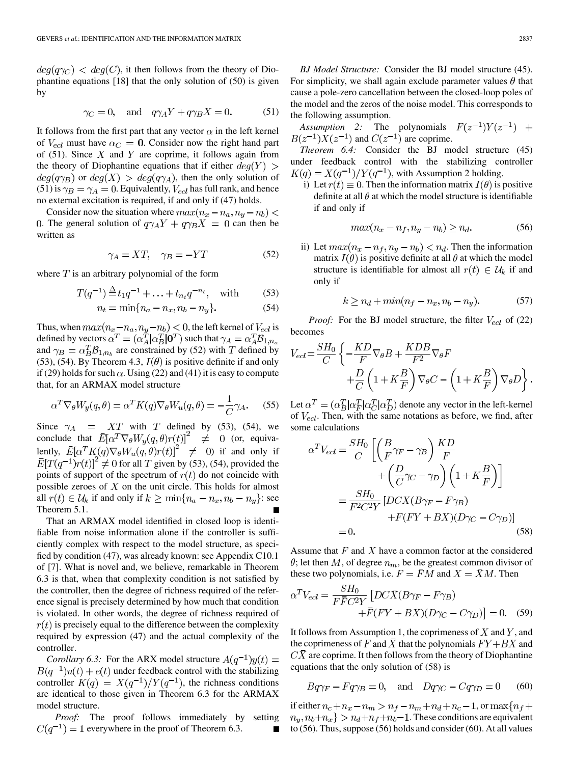$deg(q\gamma_C)$  <  $deg(C)$ , it then follows from the theory of Diophantine equations [18] that the only solution of (50) is given by

$$
\gamma_C = 0
$$
, and  $q\gamma_A Y + q\gamma_B X = 0$ . (51)

It follows from the first part that any vector  $\alpha$  in the left kernel of  $V_{ecl}$  must have  $\alpha_C = 0$ . Consider now the right hand part of (51). Since  $X$  and  $Y$  are coprime, it follows again from the theory of Diophantine equations that if either  $deg(Y)$  $deg(q\gamma_B)$  or  $deg(X) > deg(q\gamma_A)$ , then the only solution of (51) is  $\gamma_B = \gamma_A = 0$ . Equivalently,  $V_{ecl}$  has full rank, and hence no external excitation is required, if and only if (47) holds.

Consider now the situation where  $max(n_x - n_a, n_y - n_b)$ 0. The general solution of  $q\gamma_A Y + q\gamma_B X = 0$  can then be written as

$$
\gamma_A = XT, \quad \gamma_B = -YT \tag{52}
$$

where  $T$  is an arbitrary polynomial of the form

$$
T(q^{-1}) \stackrel{\Delta}{=} t_1 q^{-1} + \ldots + t_{n_t} q^{-n_t}, \quad \text{with} \tag{53}
$$

$$
n_t = \min\{n_a - n_x, n_b - n_y\}.
$$
 (54)

Thus, when  $max(n_x - n_a, n_y - n_b) < 0$ , the left kernel of  $V_{ecl}$  is defined by vectors  $\alpha^T = (\alpha_A^T | \alpha_B^T | \mathbf{0}^T)$  such that and  $\gamma_B = \alpha_B^T \mathcal{B}_{1,n_b}$  are constrained by (52) with T defined by (53), (54). By Theorem 4.3,  $I(\theta)$  is positive definite if and only if (29) holds for such  $\alpha$ . Using (22) and (41) it is easy to compute that, for an ARMAX model structure

$$
\alpha^T \nabla_{\theta} W_y(q, \theta) = \alpha^T K(q) \nabla_{\theta} W_u(q, \theta) = -\frac{1}{C} \gamma_A. \tag{55}
$$

Since  $\gamma_A$  = XT with T defined by (53), (54), we conclude that  $E[\alpha^T \nabla_{\theta} W_y(q, \theta) r(t)]^2 \neq 0$  (or, equivalently,  $\bar{E}[\alpha^T K(q) \nabla_{\theta} W_u(q, \theta) r(t)]^2 \neq 0$  if and only if  $\overline{E}[T(q^{-1})r(t)]^2 \neq 0$  for all T given by (53), (54), provided the points of support of the spectrum of  $r(t)$  do not coincide with possible zeroes of  $X$  on the unit circle. This holds for almost all  $r(t) \in \mathcal{U}_k$  if and only if  $k \ge \min\{n_a - n_x, n_b - n_y\}$ : see Theorem 5.1.

That an ARMAX model identified in closed loop is identifiable from noise information alone if the controller is sufficiently complex with respect to the model structure, as specified by condition (47), was already known: see Appendix C10.1 of [7]. What is novel and, we believe, remarkable in Theorem 6.3 is that, when that complexity condition is not satisfied by the controller, then the degree of richness required of the reference signal is precisely determined by how much that condition is violated. In other words, the degree of richness required of  $r(t)$  is precisely equal to the difference between the complexity required by expression (47) and the actual complexity of the controller.

*Corollary 6.3:* For the ARX model structure  $A(q^{-1})y(t) =$  $B(q^{-1})u(t) + e(t)$  under feedback control with the stabilizing controller  $K(q) = X(q^{-1})/Y(q^{-1})$ , the richness conditions are identical to those given in Theorem 6.3 for the ARMAX model structure.

*Proof:* The proof follows immediately by setting  $C(q^{-1}) = 1$  everywhere in the proof of Theorem 6.3. П

*BJ Model Structure:* Consider the BJ model structure (45). For simplicity, we shall again exclude parameter values  $\theta$  that cause a pole-zero cancellation between the closed-loop poles of the model and the zeros of the noise model. This corresponds to the following assumption.

*Assumption 2:* The polynomials  $F(z^{-1})Y(z^{-1})$  +  $B(z^{-1})\overline{X}(z^{-1})$  and  $C(z^{-1})$  are coprime.

*Theorem 6.4:* Consider the BJ model structure (45) under feedback control with the stabilizing controller  $K(q) = X(q^{-1})/Y(q^{-1})$ , with Assumption 2 holding.

i) Let  $r(t) \equiv 0$ . Then the information matrix  $I(\theta)$  is positive definite at all  $\theta$  at which the model structure is identifiable if and only if

$$
max(n_x - n_f, n_y - n_b) \ge n_d. \tag{56}
$$

ii) Let  $max(n_x - n_f, n_y - n_b) < n_d$ . Then the information matrix  $I(\theta)$  is positive definite at all  $\theta$  at which the model structure is identifiable for almost all  $r(t) \in \mathcal{U}_k$  if and only if

$$
k \ge n_d + \min(n_f - n_x, n_b - n_y). \tag{57}
$$

*Proof:* For the BJ model structure, the filter  $V_{\text{ecl}}$  of (22) becomes

$$
V_{ecl} = \frac{SH_0}{C} \left\{ -\frac{KD}{F} \nabla_{\theta} B + \frac{KDB}{F^2} \nabla_{\theta} F + \frac{D}{C} \left( 1 + K \frac{B}{F} \right) \nabla_{\theta} C - \left( 1 + K \frac{B}{F} \right) \nabla_{\theta} D \right\}.
$$

Let  $\alpha^T = (\alpha_R^T | \alpha_F^T | \alpha_C^T | \alpha_D^T)$  denote any vector in the left-kernel of  $V_{ecl}$ . Then, with the same notations as before, we find, after some calculations

$$
\alpha^T V_{ecl} = \frac{SH_0}{C} \left[ \left( \frac{B}{F} \gamma_F - \gamma_B \right) \frac{KD}{F} + \left( \frac{D}{C} \gamma_C - \gamma_D \right) \left( 1 + K \frac{B}{F} \right) \right]
$$
  
= 
$$
\frac{SH_0}{F^2 C^2 Y} \left[ DCX (B \gamma_F - F \gamma_B) + F (FY + BX) (D \gamma_C - C \gamma_D) \right]
$$
  
= 0. (58)

Assume that  $F$  and  $X$  have a common factor at the considered  $\theta$ ; let then M, of degree  $n_m$ , be the greatest common divisor of these two polynomials, i.e.  $F = \bar{F}M$  and  $X = \bar{X}M$ . Then

$$
\alpha^T V_{ecl} = \frac{SH_0}{F\overline{F}C^2Y} \left[DC\overline{X}(B\gamma_F - F\gamma_B) + \overline{F}(FY + BX)(D\gamma_C - C\gamma_D)\right] = 0. \quad (59)
$$

It follows from Assumption 1, the coprimeness of  $X$  and  $Y$ , and the coprimeness of F and  $\bar{X}$  that the polynomials  $FY + BX$  and  $C\overline{X}$  are coprime. It then follows from the theory of Diophantine equations that the only solution of (58) is

$$
Bq\gamma_F - Fq\gamma_B = 0
$$
, and  $Dq\gamma_C - Cq\gamma_D = 0$  (60)

if either  $n_c + n_x - n_m > n_f - n_m + n_d + n_c - 1$ , or  $\max\{n_f +$  $n_y, n_b+n_x$  >  $n_d+n_f+n_b-1$ . These conditions are equivalent to (56). Thus, suppose (56) holds and consider (60). At all values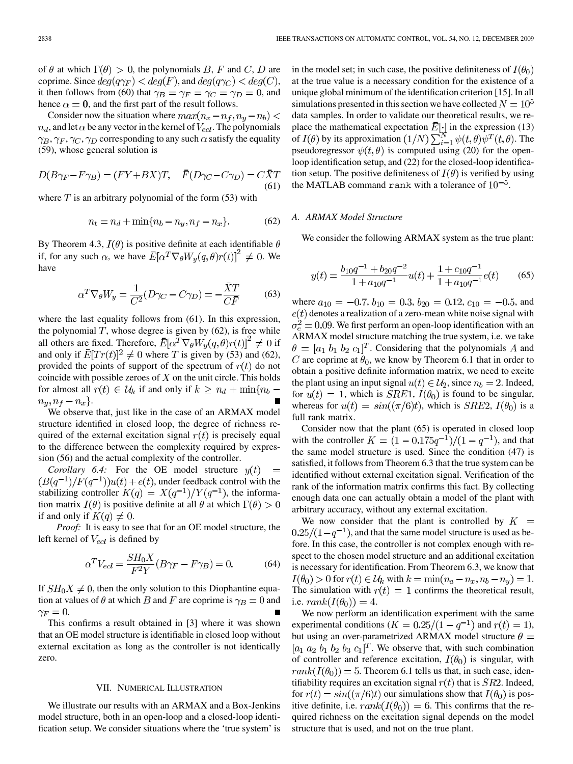of  $\theta$  at which  $\Gamma(\theta) > 0$ , the polynomials B, F and C, D are coprime. Since  $deg(q\gamma_F) < deg(F)$ , and  $deg(q\gamma_C) < deg(C)$ , it then follows from (60) that  $\gamma_B = \gamma_F = \gamma_C = \gamma_D = 0$ , and hence  $\alpha = 0$ , and the first part of the result follows.

Consider now the situation where  $max(n_x - n_f, n_y - n_b)$  <  $n_d$ , and let  $\alpha$  be any vector in the kernel of  $V_{ecl}$ . The polynomials  $\gamma_B, \gamma_F, \gamma_C, \gamma_D$  corresponding to any such  $\alpha$  satisfy the equality (59), whose general solution is

$$
D(B\gamma_F - F\gamma_B) = (FY + BX)T, \quad \bar{F}(D\gamma_C - C\gamma_D) = C\bar{X}T
$$
\n(61)

where  $T$  is an arbitrary polynomial of the form (53) with

$$
n_t = n_d + \min\{n_b - n_y, n_f - n_x\}.
$$
 (62)

By Theorem 4.3,  $I(\theta)$  is positive definite at each identifiable  $\theta$ if, for any such  $\alpha$ , we have  $\bar{E}[\alpha^T \nabla_{\theta} W_y(q, \theta) r(t)]^2 \neq 0$ . We have

$$
\alpha^T \nabla_{\theta} W_y = \frac{1}{C^2} (D\gamma_C - C\gamma_D) = -\frac{XT}{C\bar{F}} \tag{63}
$$

where the last equality follows from (61). In this expression, the polynomial  $T$ , whose degree is given by (62), is free while all others are fixed. Therefore,  $\bar{E}[\alpha^T \nabla_{\theta} W_u(q, \theta) r(t)]^2 \neq 0$  if and only if  $\bar{E}[Tr(t)]^2 \neq 0$  where T is given by (53) and (62), provided the points of support of the spectrum of  $r(t)$  do not coincide with possible zeroes of  $X$  on the unit circle. This holds for almost all  $r(t) \in \mathcal{U}_k$  if and only if  $k \geq n_d + \min\{n_b - \ell\}$  $n_y, n_f - n_x$ .

We observe that, just like in the case of an ARMAX model structure identified in closed loop, the degree of richness required of the external excitation signal  $r(t)$  is precisely equal to the difference between the complexity required by expression (56) and the actual complexity of the controller.

*Corollary 6.4:* For the OE model structure  $y(t)$  $(B(q^{-1})/F(q^{-1}))u(t) + e(t)$ , under feedback control with the stabilizing controller  $K(q) = X(q^{-1})/Y(q^{-1})$ , the information matrix  $I(\theta)$  is positive definite at all  $\theta$  at which  $\Gamma(\theta) > 0$ if and only if  $K(q) \neq 0$ .

*Proof:* It is easy to see that for an OE model structure, the left kernel of  $V_{ecl}$  is defined by

$$
\alpha^T V_{ecl} = \frac{SH_0 X}{F^2 Y} (B \gamma_F - F \gamma_B) = 0. \tag{64}
$$

If  $SH_0X \neq 0$ , then the only solution to this Diophantine equation at values of  $\theta$  at which B and F are coprime is  $\gamma_B = 0$  and  $\gamma_F=0.$ 

This confirms a result obtained in [3] where it was shown that an OE model structure is identifiable in closed loop without external excitation as long as the controller is not identically zero.

## VII. NUMERICAL ILLUSTRATION

We illustrate our results with an ARMAX and a Box-Jenkins model structure, both in an open-loop and a closed-loop identification setup. We consider situations where the 'true system' is

in the model set; in such case, the positive definiteness of  $I(\theta_0)$ at the true value is a necessary condition for the existence of a unique global minimum of the identification criterion [15]. In all simulations presented in this section we have collected  $N = 10<sup>5</sup>$ data samples. In order to validate our theoretical results, we replace the mathematical expectation  $\overline{E}[\cdot]$  in the expression (13) of  $I(\theta)$  by its approximation  $(1/N)\sum_{i=1}^{N}\psi(t,\theta)\hat{\psi}^{T}(t,\theta)$ . The pseudoregressor  $\psi(t, \theta)$  is computed using (20) for the openloop identification setup, and (22) for the closed-loop identification setup. The positive definiteness of  $I(\theta)$  is verified by using the MATLAB command rank with a tolerance of  $10^{-5}$ .

## *A. ARMAX Model Structure*

We consider the following ARMAX system as the true plant:

$$
y(t) = \frac{b_{10}q^{-1} + b_{20}q^{-2}}{1 + a_{10}q^{-1}}u(t) + \frac{1 + c_{10}q^{-1}}{1 + a_{10}q^{-1}}e(t)
$$
 (65)

where  $a_{10} = -0.7, b_{10} = 0.3, b_{20} = 0.12, c_{10} = -0.5$ , and  $e(t)$  denotes a realization of a zero-mean white noise signal with  $\sigma_e^2 = 0.09$ . We first perform an open-loop identification with an ARMAX model structure matching the true system, i.e. we take  $\theta = [a_1 \ b_1 \ b_2 \ c_1]^T$ . Considering that the polynomials A and C are coprime at  $\theta_0$ , we know by Theorem 6.1 that in order to obtain a positive definite information matrix, we need to excite the plant using an input signal  $u(t) \in \mathcal{U}_2$ , since  $n_b = 2$ . Indeed, for  $u(t) = 1$ , which is *SRE*1,  $I(\theta_0)$  is found to be singular, whereas for  $u(t) = sin((\pi/6)t)$ , which is  $SRE2$ ,  $I(\theta_0)$  is a full rank matrix.

Consider now that the plant (65) is operated in closed loop with the controller  $K = (1 - 0.175q^{-1})/(1 - q^{-1})$ , and that the same model structure is used. Since the condition (47) is satisfied, it follows from Theorem 6.3 that the true system can be identified without external excitation signal. Verification of the rank of the information matrix confirms this fact. By collecting enough data one can actually obtain a model of the plant with arbitrary accuracy, without any external excitation.

We now consider that the plant is controlled by  $K =$  $0.25/(1-q^{-1})$ , and that the same model structure is used as before. In this case, the controller is not complex enough with respect to the chosen model structure and an additional excitation is necessary for identification. From Theorem 6.3, we know that  $I(\theta_0) > 0$  for  $r(t) \in \mathcal{U}_k$  with  $k = \min(n_a - n_x, n_b - n_y) = 1$ . The simulation with  $r(t) = 1$  confirms the theoretical result, i.e.  $rank(I(\theta_0)) = 4$ .

We now perform an identification experiment with the same experimental conditions  $(K = 0.25/(1 - q^{-1})$  and  $r(t) = 1)$ , but using an over-parametrized ARMAX model structure  $\theta =$  $[a_1 \ a_2 \ b_1 \ b_2 \ b_3 \ c_1]^T$ . We observe that, with such combination of controller and reference excitation,  $I(\theta_0)$  is singular, with  $rank(I(\theta_0)) = 5$ . Theorem 6.1 tells us that, in such case, identifiability requires an excitation signal  $r(t)$  that is  $SR2$ . Indeed, for  $r(t) = \sin((\pi/6)t)$  our simulations show that  $I(\theta_0)$  is positive definite, i.e.  $rank(I(\theta_0)) = 6$ . This confirms that the required richness on the excitation signal depends on the model structure that is used, and not on the true plant.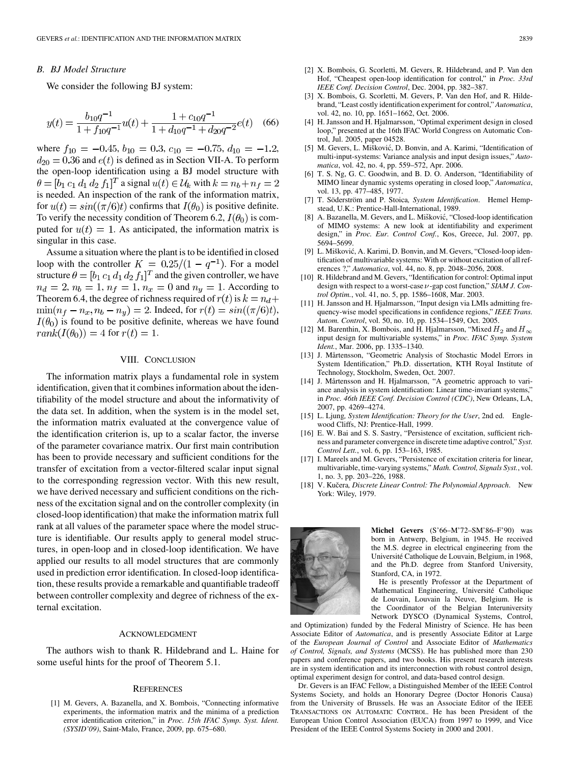## *B. BJ Model Structure*

We consider the following BJ system:

$$
y(t) = \frac{b_{10}q^{-1}}{1 + f_{10}q^{-1}}u(t) + \frac{1 + c_{10}q^{-1}}{1 + d_{10}q^{-1} + d_{20}q^{-2}}e(t)
$$
 (66)

where  $f_{10} = -0.45, b_{10} = 0.3, c_{10} = -0.75, d_{10} = -1.2,$  $d_{20} = 0.36$  and  $e(t)$  is defined as in Section VII-A. To perform the open-loop identification using a BJ model structure with  $\theta = [\theta_1 c_1 d_1 d_2 f_1]^T$  a signal  $u(t) \in \mathcal{U}_k$  with  $k = n_b + n_f = 2$ is needed. An inspection of the rank of the information matrix, for  $u(t) = \sin((\pi/6)t)$  confirms that  $I(\theta_0)$  is positive definite. To verify the necessity condition of Theorem 6.2,  $I(\theta_0)$  is computed for  $u(t) = 1$ . As anticipated, the information matrix is singular in this case.

Assume a situation where the plant is to be identified in closed loop with the controller  $K = 0.25/(1 - q^{-1})$ . For a model structure  $\theta = [b_1 c_1 d_1 d_2 f_1]^T$  and the given controller, we have  $n_d = 2, n_b = 1, n_f = 1, n_x = 0$  and  $n_y = 1$ . According to Theorem 6.4, the degree of richness required of  $r(t)$  is  $k = n_d +$  $\min(n_f - n_x, n_b - n_y) = 2$ . Indeed, for  $r(t) = \sin((\pi/6)t)$ ,  $I(\theta_0)$  is found to be positive definite, whereas we have found  $rank(I(\theta_0)) = 4$  for  $r(t) = 1$ .

## VIII. CONCLUSION

The information matrix plays a fundamental role in system identification, given that it combines information about the identifiability of the model structure and about the informativity of the data set. In addition, when the system is in the model set, the information matrix evaluated at the convergence value of the identification criterion is, up to a scalar factor, the inverse of the parameter covariance matrix. Our first main contribution has been to provide necessary and sufficient conditions for the transfer of excitation from a vector-filtered scalar input signal to the corresponding regression vector. With this new result, we have derived necessary and sufficient conditions on the richness of the excitation signal and on the controller complexity (in closed-loop identification) that make the information matrix full rank at all values of the parameter space where the model structure is identifiable. Our results apply to general model structures, in open-loop and in closed-loop identification. We have applied our results to all model structures that are commonly used in prediction error identification. In closed-loop identification, these results provide a remarkable and quantifiable tradeoff between controller complexity and degree of richness of the external excitation.

#### ACKNOWLEDGMENT

The authors wish to thank R. Hildebrand and L. Haine for some useful hints for the proof of Theorem 5.1.

#### **REFERENCES**

[1] M. Gevers, A. Bazanella, and X. Bombois, "Connecting informative experiments, the information matrix and the minima of a prediction error identification criterion," in *Proc. 15th IFAC Symp. Syst. Ident. (SYSID'09)*, Saint-Malo, France, 2009, pp. 675–680.

- [2] X. Bombois, G. Scorletti, M. Gevers, R. Hildebrand, and P. Van den Hof, "Cheapest open-loop identification for control," in *Proc. 33rd IEEE Conf. Decision Control*, Dec. 2004, pp. 382–387.
- [3] X. Bombois, G. Scorletti, M. Gevers, P. Van den Hof, and R. Hildebrand, "Least costly identification experiment for control," *Automatica*, vol. 42, no. 10, pp. 1651–1662, Oct. 2006.
- [4] H. Jansson and H. Hjalmarsson, "Optimal experiment design in closed loop," presented at the 16th IFAC World Congress on Automatic Control, Jul. 2005, paper 04528.
- [5] M. Gevers, L. Mišković, D. Bonvin, and A. Karimi, "Identification of multi-input-systems: Variance analysis and input design issues," *Automatica*, vol. 42, no. 4, pp. 559–572, Apr. 2006.
- [6] T. S. Ng, G. C. Goodwin, and B. D. O. Anderson, "Identifiability of MIMO linear dynamic systems operating in closed loop," *Automatica*, vol. 13, pp. 477–485, 1977.
- [7] T. Söderström and P. Stoica*, System Identification*. Hemel Hempstead, U.K.: Prentice-Hall-International, 1989.
- [8] A. Bazanella, M. Gevers, and L. Mišković, "Closed-loop identification of MIMO systems: A new look at identifiability and experiment design," in *Proc. Eur. Control Conf.*, Kos, Greece, Jul. 2007, pp. 5694–5699.
- [9] L. Mišković, A. Karimi, D. Bonvin, and M. Gevers, "Closed-loop identification of multivariable systems: With or without excitation of all references ?," *Automatica*, vol. 44, no. 8, pp. 2048–2056, 2008.
- [10] R. Hildebrand and M. Gevers, "Identification for control: Optimal input design with respect to a worst-case  $\nu$ -gap cost function," *SIAM J. Control Optim.*, vol. 41, no. 5, pp. 1586–1608, Mar. 2003.
- [11] H. Jansson and H. Hjalmarsson, "Input design via LMIs admitting frequency-wise model specifications in confidence regions," *IEEE Trans. Autom. Control*, vol. 50, no. 10, pp. 1534–1549, Oct. 2005.
- [12] M. Barenthin, X. Bombois, and H. Hjalmarsson, "Mixed  $H_2$  and  $H$ input design for multivariable systems," in *Proc. IFAC Symp. System Ident.*, Mar. 2006, pp. 1335–1340.
- [13] J. Mårtensson, "Geometric Analysis of Stochastic Model Errors in System Identification," Ph.D. dissertation, KTH Royal Institute of Technology, Stockholm, Sweden, Oct. 2007.
- [14] J. Mårtensson and H. Hjalmarsson, "A geometric approach to variance analysis in system identification: Linear time-invariant systems," in *Proc. 46th IEEE Conf. Decision Control (CDC)*, New Orleans, LA, 2007, pp. 4269–4274.
- [15] L. Ljung*, System Identification: Theory for the User*, 2nd ed. Englewood Cliffs, NJ: Prentice-Hall, 1999.
- [16] E. W. Bai and S. S. Sastry, "Persistence of excitation, sufficient richness and parameter convergence in discrete time adaptive control," *Syst. Control Lett.*, vol. 6, pp. 153–163, 1985.
- [17] I. Mareels and M. Gevers, "Persistence of excitation criteria for linear, multivariable, time-varying systems," *Math. Control, Signals Syst.*, vol. 1, no. 3, pp. 203–226, 1988.
- [18] V. Kučera, *Discrete Linear Control: The Polynomial Approach*. New York: Wiley, 1979.



**Michel Gevers** (S'66–M'72–SM'86–F'90) was born in Antwerp, Belgium, in 1945. He received the M.S. degree in electrical engineering from the Université Catholique de Louvain, Belgium, in 1968, and the Ph.D. degree from Stanford University, Stanford, CA, in 1972.

He is presently Professor at the Department of Mathematical Engineering, Université Catholique de Louvain, Louvain la Neuve, Belgium. He is the Coordinator of the Belgian Interuniversity Network DYSCO (Dynamical Systems, Control,

and Optimization) funded by the Federal Ministry of Science. He has been Associate Editor of *Automatica*, and is presently Associate Editor at Large of the *European Journal of Control* and Associate Editor of *Mathematics of Control, Signals, and Systems* (MCSS). He has published more than 230 papers and conference papers, and two books. His present research interests are in system identification and its interconnection with robust control design, optimal experiment design for control, and data-based control design.

Dr. Gevers is an IFAC Fellow, a Distinguished Member of the IEEE Control Systems Society, and holds an Honorary Degree (Doctor Honoris Causa) from the University of Brussels. He was an Associate Editor of the IEEE TRANSACTIONS ON AUTOMATIC CONTROL. He has been President of the European Union Control Association (EUCA) from 1997 to 1999, and Vice President of the IEEE Control Systems Society in 2000 and 2001.